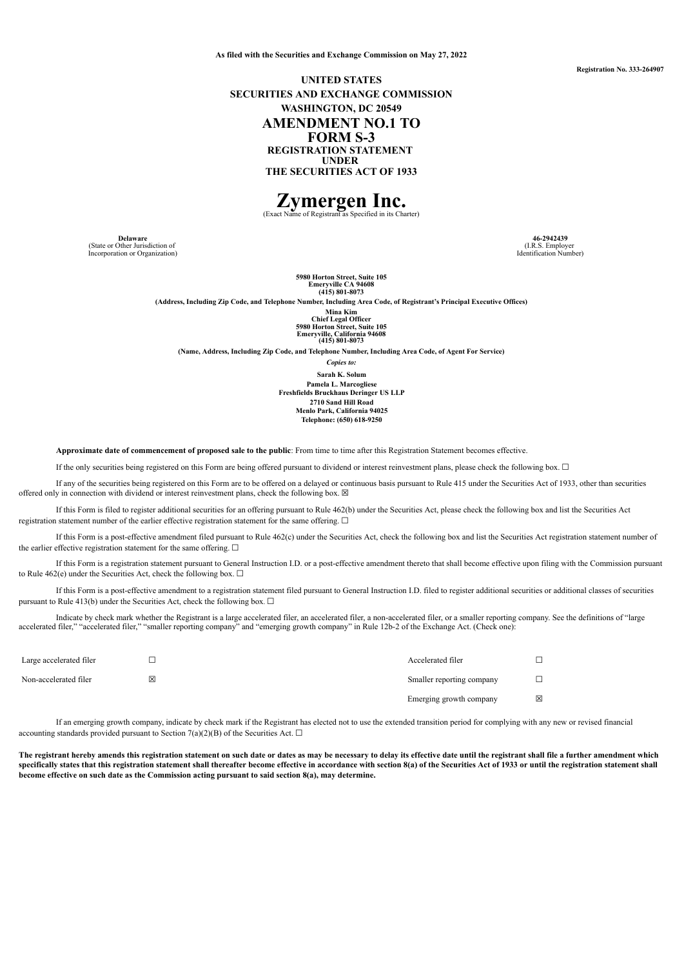**As filed with the Securities and Exchange Commission on May 27, 2022**

**Registration No. 333-264907**

## **UNITED STATES SECURITIES AND EXCHANGE COMMISSION WASHINGTON, DC 20549 AMENDMENT NO.1 TO FORM S-3 REGISTRATION STATEMENT UNDER THE SECURITIES ACT OF 1933**

# **Zymergen Inc.** (Exact Name of Registrant as Specified in its Charter)

**Delaware**<br>(State or Other Jurisdiction of Incorporation or Organization)

**46-2942439** (I.R.S. Employer Identification Number)

**5980 Horton Street, Suite 105 Emeryville CA 94608 (415) 801-8073**

**(Address, Including Zip Code, and Telephone Number, Including Area Code, of Registrant's Principal Executive Offices)**

**Mina Kim Chief Legal Officer 5980 Horton Street, Suite 105 Emeryville, California 94608 (415) 801-8073**

**(Name, Address, Including Zip Code, and Telephone Number, Including Area Code, of Agent For Service)**

*Copies to:*

**Sarah K. Solum Pamela L. Marcogliese Freshfields Bruckhaus Deringer US LLP 2710 Sand Hill Road Menlo Park, California 94025 Telephone: (650) 618-9250**

**Approximate date of commencement of proposed sale to the public**: From time to time after this Registration Statement becomes effective.

If the only securities being registered on this Form are being offered pursuant to dividend or interest reinvestment plans, please check the following box. ☐

If any of the securities being registered on this Form are to be offered on a delayed or continuous basis pursuant to Rule 415 under the Securities Act of 1933, other than securities offered only in connection with dividend or interest reinvestment plans, check the following box.  $\boxtimes$ 

If this Form is filed to register additional securities for an offering pursuant to Rule 462(b) under the Securities Act, please check the following box and list the Securities Act registration statement number of the earlier effective registration statement for the same offering.  $\Box$ 

If this Form is a post-effective amendment filed pursuant to Rule 462(c) under the Securities Act, check the following box and list the Securities Act registration statement number of the earlier effective registration statement for the same offering.  $\Box$ 

If this Form is a registration statement pursuant to General Instruction I.D. or a post-effective amendment thereto that shall become effective upon filing with the Commission pursuant to Rule 462(e) under the Securities Act, check the following box.  $\Box$ 

If this Form is a post-effective amendment to a registration statement filed pursuant to General Instruction I.D. filed to register additional securities or additional classes of securities pursuant to Rule 413(b) under the Securities Act, check the following box.  $\Box$ 

Indicate by check mark whether the Registrant is a large accelerated filer, an accelerated filer, a non-accelerated filer, or a smaller reporting company. See the definitions of "large accelerated filer," "accelerated filer," "smaller reporting company" and "emerging growth company" in Rule 12b-2 of the Exchange Act. (Check one):

| Large accelerated filer |   | Accelerated filer         |   |
|-------------------------|---|---------------------------|---|
| Non-accelerated filer   | ⊠ | Smaller reporting company |   |
|                         |   | Emerging growth company   | × |

If an emerging growth company, indicate by check mark if the Registrant has elected not to use the extended transition period for complying with any new or revised financial accounting standards provided pursuant to Section 7(a)(2)(B) of the Securities Act.  $\square$ 

The registrant hereby amends this registration statement on such date or dates as may be necessary to delay its effective date until the registrant shall file a further amendment which specifically states that this registration statement shall thereafter become effective in accordance with section 8(a) of the Securities Act of 1933 or until the registration statement shall **become effective on such date as the Commission acting pursuant to said section 8(a), may determine.**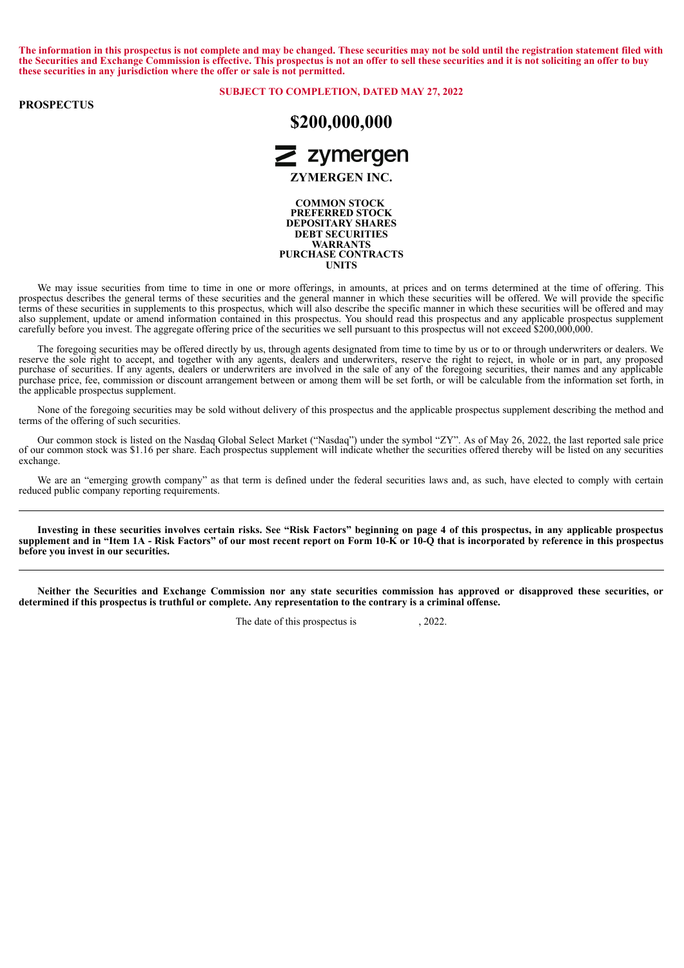The information in this prospectus is not complete and may be changed. These securities may not be sold until the registration statement filed with the Securities and Exchange Commission is effective. This prospectus is not an offer to sell these securities and it is not soliciting an offer to buy **these securities in any jurisdiction where the offer or sale is not permitted.**

#### **PROSPECTUS**

#### **SUBJECT TO COMPLETION, DATED MAY 27, 2022**



**COMMON STOCK PREFERRED STOCK DEPOSITARY SHARES DEBT SECURITIES WARRANTS PURCHASE CONTRACTS UNITS**

We may issue securities from time to time in one or more offerings, in amounts, at prices and on terms determined at the time of offering. This prospectus describes the general terms of these securities and the general manner in which these securities will be offered. We will provide the specific terms of these securities in supplements to this prospectus, which will also describe the specific manner in which these securities will be offered and may also supplement, update or amend information contained in this prospectus. You should read this prospectus and any applicable prospectus supplement carefully before you invest. The aggregate offering price of the securities we sell pursuant to this prospectus will not exceed \$200,000,000.

The foregoing securities may be offered directly by us, through agents designated from time to time by us or to or through underwriters or dealers. We reserve the sole right to accept, and together with any agents, dealers and underwriters, reserve the right to reject, in whole or in part, any proposed purchase of securities. If any agents, dealers or underwriters are involved in the sale of any of the foregoing securities, their names and any applicable purchase price, fee, commission or discount arrangement between or among them will be set forth, or will be calculable from the information set forth, in the applicable prospectus supplement.

None of the foregoing securities may be sold without delivery of this prospectus and the applicable prospectus supplement describing the method and terms of the offering of such securities.

Our common stock is listed on the Nasdaq Global Select Market ("Nasdaq") under the symbol "ZY". As of May 26, 2022, the last reported sale price of our common stock was \$1.16 per share. Each prospectus supplement will indicate whether the securities offered thereby will be listed on any securities exchange.

We are an "emerging growth company" as that term is defined under the federal securities laws and, as such, have elected to comply with certain reduced public company reporting requirements.

Investing in these securities involves certain risks. See "Risk Factors" beginning on page [4](#page-6-0) of this prospectus, in any applicable prospectus supplement and in "Item 1A - Risk Factors" of our most recent report on Form 10-K or 10-Q that is incorporated by reference in this prospectus **before you invest in our securities.**

Neither the Securities and Exchange Commission nor any state securities commission has approved or disapproved these securities, or determined if this prospectus is truthful or complete. Any representation to the contrary is a criminal offense.

The date of this prospectus is , 2022.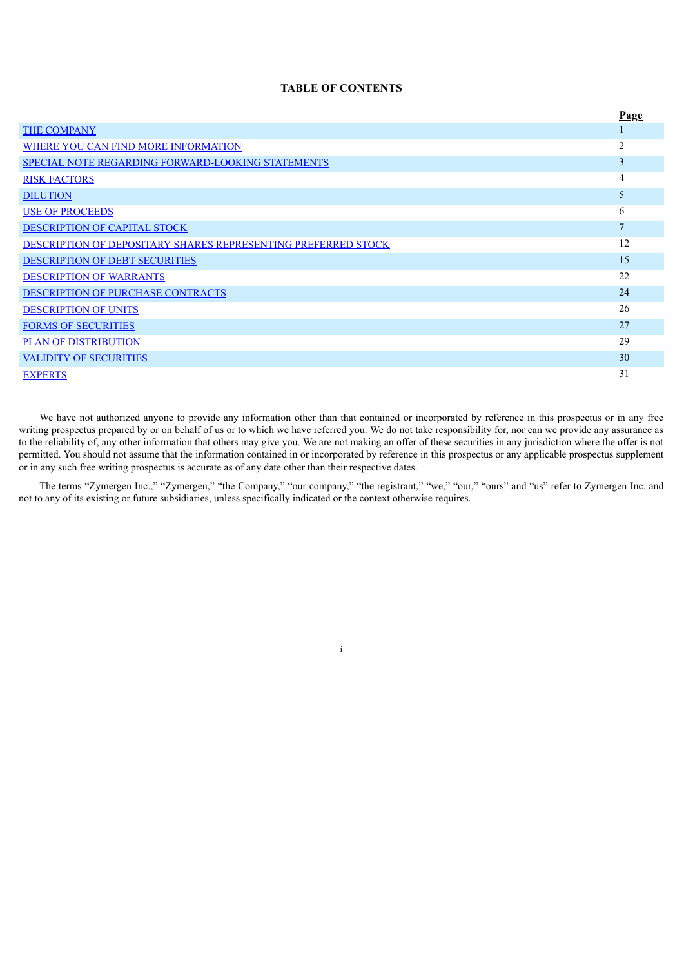## **TABLE OF CONTENTS**

|                                                               | Page           |
|---------------------------------------------------------------|----------------|
| <b>THE COMPANY</b>                                            |                |
| WHERE YOU CAN FIND MORE INFORMATION                           | 2              |
| <b>SPECIAL NOTE REGARDING FORWARD-LOOKING STATEMENTS</b>      | 3              |
| <b>RISK FACTORS</b>                                           | 4              |
| <b>DILUTION</b>                                               | 5              |
| <b>USE OF PROCEEDS</b>                                        | 6              |
| DESCRIPTION OF CAPITAL STOCK                                  | $\overline{7}$ |
| DESCRIPTION OF DEPOSITARY SHARES REPRESENTING PREFERRED STOCK | 12             |
| <b>DESCRIPTION OF DEBT SECURITIES</b>                         | 15             |
| <b>DESCRIPTION OF WARRANTS</b>                                | 22             |
| DESCRIPTION OF PURCHASE CONTRACTS                             | 24             |
| <b>DESCRIPTION OF UNITS</b>                                   | 26             |
| <b>FORMS OF SECURITIES</b>                                    | 27             |
| <b>PLAN OF DISTRIBUTION</b>                                   | 29             |
| <b>VALIDITY OF SECURITIES</b>                                 | 30             |
| <b>EXPERTS</b>                                                | 31             |

We have not authorized anyone to provide any information other than that contained or incorporated by reference in this prospectus or in any free writing prospectus prepared by or on behalf of us or to which we have referred you. We do not take responsibility for, nor can we provide any assurance as to the reliability of, any other information that others may give you. We are not making an offer of these securities in any jurisdiction where the offer is not permitted. You should not assume that the information contained in or incorporated by reference in this prospectus or any applicable prospectus supplement or in any such free writing prospectus is accurate as of any date other than their respective dates.

<span id="page-2-0"></span>The terms "Zymergen Inc.," "Zymergen," "the Company," "our company," "the registrant," "we," "our," "ours" and "us" refer to Zymergen Inc. and not to any of its existing or future subsidiaries, unless specifically indicated or the context otherwise requires.

i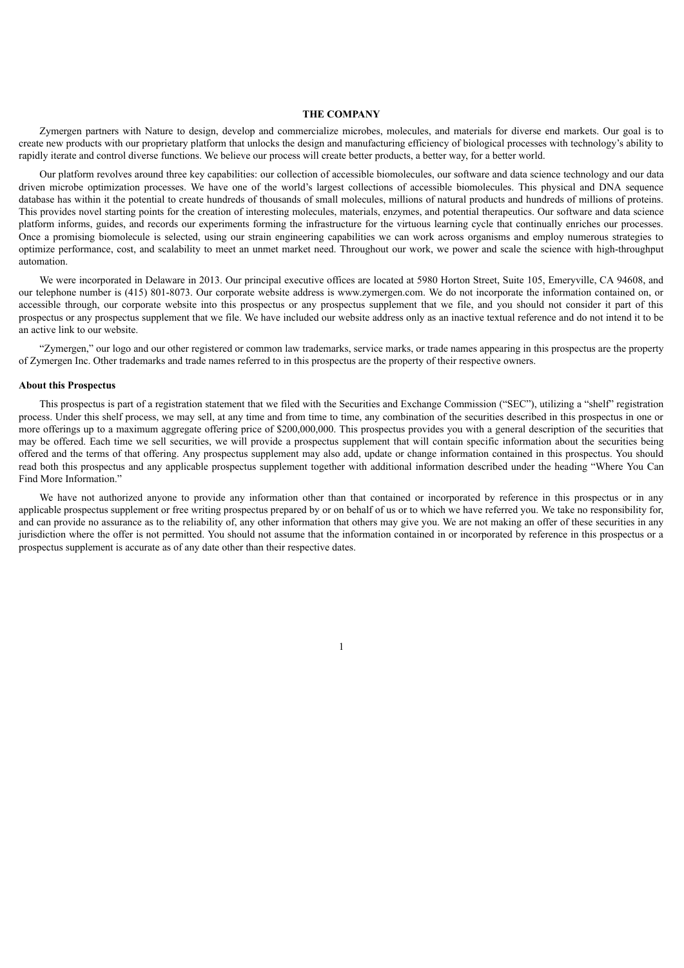#### **THE COMPANY**

Zymergen partners with Nature to design, develop and commercialize microbes, molecules, and materials for diverse end markets. Our goal is to create new products with our proprietary platform that unlocks the design and manufacturing efficiency of biological processes with technology's ability to rapidly iterate and control diverse functions. We believe our process will create better products, a better way, for a better world.

Our platform revolves around three key capabilities: our collection of accessible biomolecules, our software and data science technology and our data driven microbe optimization processes. We have one of the world's largest collections of accessible biomolecules. This physical and DNA sequence database has within it the potential to create hundreds of thousands of small molecules, millions of natural products and hundreds of millions of proteins. This provides novel starting points for the creation of interesting molecules, materials, enzymes, and potential therapeutics. Our software and data science platform informs, guides, and records our experiments forming the infrastructure for the virtuous learning cycle that continually enriches our processes. Once a promising biomolecule is selected, using our strain engineering capabilities we can work across organisms and employ numerous strategies to optimize performance, cost, and scalability to meet an unmet market need. Throughout our work, we power and scale the science with high-throughput automation.

We were incorporated in Delaware in 2013. Our principal executive offices are located at 5980 Horton Street, Suite 105, Emeryville, CA 94608, and our telephone number is (415) 801-8073. Our corporate website address is www.zymergen.com. We do not incorporate the information contained on, or accessible through, our corporate website into this prospectus or any prospectus supplement that we file, and you should not consider it part of this prospectus or any prospectus supplement that we file. We have included our website address only as an inactive textual reference and do not intend it to be an active link to our website.

"Zymergen," our logo and our other registered or common law trademarks, service marks, or trade names appearing in this prospectus are the property of Zymergen Inc. Other trademarks and trade names referred to in this prospectus are the property of their respective owners.

#### **About this Prospectus**

This prospectus is part of a registration statement that we filed with the Securities and Exchange Commission ("SEC"), utilizing a "shelf" registration process. Under this shelf process, we may sell, at any time and from time to time, any combination of the securities described in this prospectus in one or more offerings up to a maximum aggregate offering price of \$200,000,000. This prospectus provides you with a general description of the securities that may be offered. Each time we sell securities, we will provide a prospectus supplement that will contain specific information about the securities being offered and the terms of that offering. Any prospectus supplement may also add, update or change information contained in this prospectus. You should read both this prospectus and any applicable prospectus supplement together with additional information described under the heading "Where You Can Find More Information"

We have not authorized anyone to provide any information other than that contained or incorporated by reference in this prospectus or in any applicable prospectus supplement or free writing prospectus prepared by or on behalf of us or to which we have referred you. We take no responsibility for, and can provide no assurance as to the reliability of, any other information that others may give you. We are not making an offer of these securities in any jurisdiction where the offer is not permitted. You should not assume that the information contained in or incorporated by reference in this prospectus or a prospectus supplement is accurate as of any date other than their respective dates.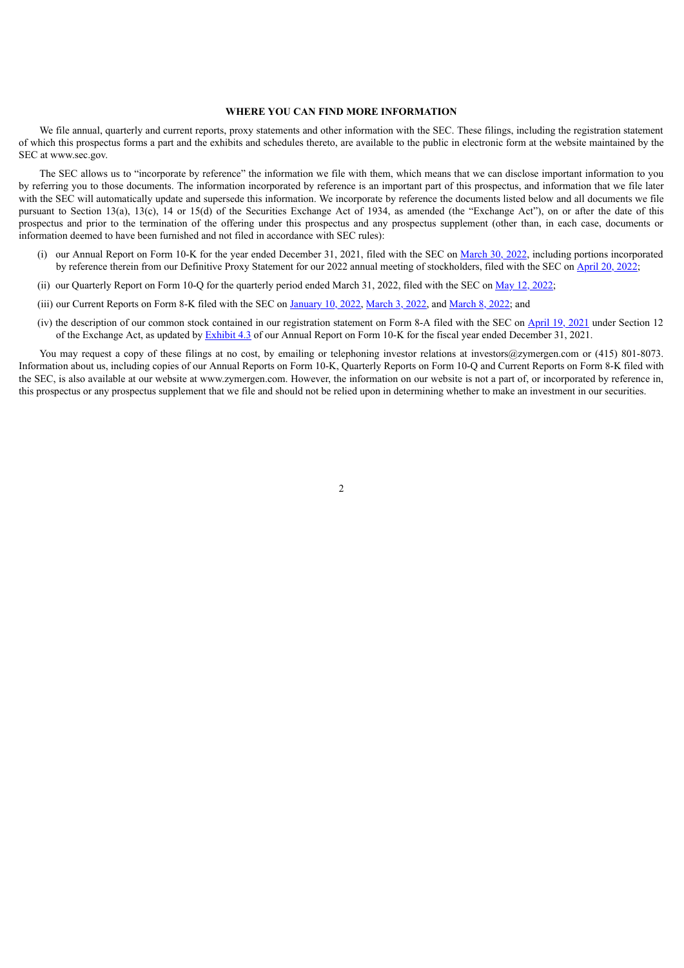#### **WHERE YOU CAN FIND MORE INFORMATION**

<span id="page-4-0"></span>We file annual, quarterly and current reports, proxy statements and other information with the SEC. These filings, including the registration statement of which this prospectus forms a part and the exhibits and schedules thereto, are available to the public in electronic form at the website maintained by the SEC at www.sec.gov.

The SEC allows us to "incorporate by reference" the information we file with them, which means that we can disclose important information to you by referring you to those documents. The information incorporated by reference is an important part of this prospectus, and information that we file later with the SEC will automatically update and supersede this information. We incorporate by reference the documents listed below and all documents we file pursuant to Section 13(a), 13(c), 14 or 15(d) of the Securities Exchange Act of 1934, as amended (the "Exchange Act"), on or after the date of this prospectus and prior to the termination of the offering under this prospectus and any prospectus supplement (other than, in each case, documents or information deemed to have been furnished and not filed in accordance with SEC rules):

- (i) our Annual Report on Form 10-K for the year ended December 31, 2021, filed with the SEC on [March](https://www.sec.gov/ix?doc=/Archives/edgar/data/1645842/000164584222000046/zy-20211231.htm) 30, 2022, including portions incorporated by reference therein from our Definitive Proxy Statement for our 2022 annual meeting of stockholders, filed with the SEC on [April](https://www.sec.gov/Archives/edgar/data/1645842/000164584222000058/zym-2022xdef14a.htm) 20, 2022;
- (ii) our Quarterly Report on Form 10-Q for the quarterly period ended March 31, 2022, filed with the SEC on May 12, [2022](https://www.sec.gov/ix?doc=/Archives/edgar/data/0001645842/000164584222000074/zy-20220331.htm);
- (iii) our Current Reports on Form 8-K filed with the SEC on [January](https://www.sec.gov/ix?doc=/Archives/edgar/data/1645842/000164584222000004/zy-20220110.htm) 10, 2022, [March](https://www.sec.gov/ix?doc=/Archives/edgar/data/1645842/000164584222000026/zy-20220301.htm) 3, 2022, and [March](https://www.sec.gov/ix?doc=/Archives/edgar/data/1645842/000110465922031290/tm228625d1_8k.htm) 8, 2022; and
- (iv) the description of our common stock contained in our registration statement on Form 8-A filed with the SEC on [April](https://www.sec.gov/Archives/edgar/data/1645842/000114036121013297/nt100187776x11_8a12b.htm) 19, 2021 under Section 12 of the Exchange Act, as updated by [Exhibit](https://www.sec.gov/Archives/edgar/data/1645842/000164584222000046/exhibit432021q4.htm) 4.3 of our Annual Report on Form 10-K for the fiscal year ended December 31, 2021.

You may request a copy of these filings at no cost, by emailing or telephoning investor relations at investors@zymergen.com or (415) 801-8073. Information about us, including copies of our Annual Reports on Form 10-K, Quarterly Reports on Form 10-Q and Current Reports on Form 8-K filed with the SEC, is also available at our website at www.zymergen.com. However, the information on our website is not a part of, or incorporated by reference in, this prospectus or any prospectus supplement that we file and should not be relied upon in determining whether to make an investment in our securities.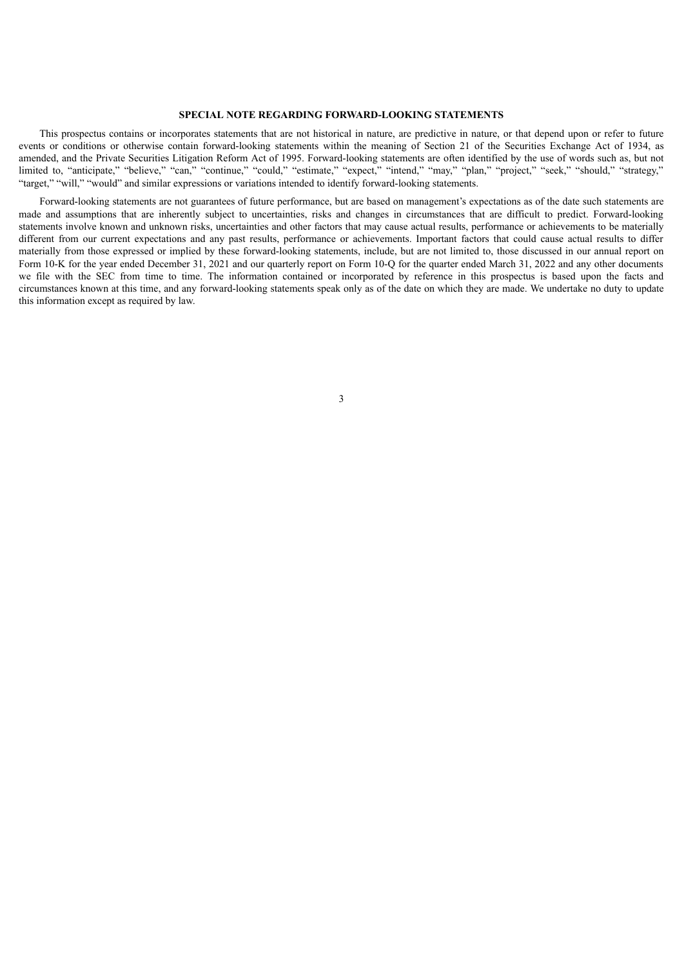## **SPECIAL NOTE REGARDING FORWARD-LOOKING STATEMENTS**

<span id="page-5-0"></span>This prospectus contains or incorporates statements that are not historical in nature, are predictive in nature, or that depend upon or refer to future events or conditions or otherwise contain forward-looking statements within the meaning of Section 21 of the Securities Exchange Act of 1934, as amended, and the Private Securities Litigation Reform Act of 1995. Forward-looking statements are often identified by the use of words such as, but not limited to, "anticipate," "believe," "can," "continue," "could," "estimate," "expect," "intend," "may," "plan," "project," "seek," "should," "strategy," "target," "will," "would" and similar expressions or variations intended to identify forward-looking statements.

Forward-looking statements are not guarantees of future performance, but are based on management's expectations as of the date such statements are made and assumptions that are inherently subject to uncertainties, risks and changes in circumstances that are difficult to predict. Forward-looking statements involve known and unknown risks, uncertainties and other factors that may cause actual results, performance or achievements to be materially different from our current expectations and any past results, performance or achievements. Important factors that could cause actual results to differ materially from those expressed or implied by these forward-looking statements, include, but are not limited to, those discussed in our annual report on Form 10-K for the year ended December 31, 2021 and our quarterly report on Form 10-Q for the quarter ended March 31, 2022 and any other documents we file with the SEC from time to time. The information contained or incorporated by reference in this prospectus is based upon the facts and circumstances known at this time, and any forward-looking statements speak only as of the date on which they are made. We undertake no duty to update this information except as required by law.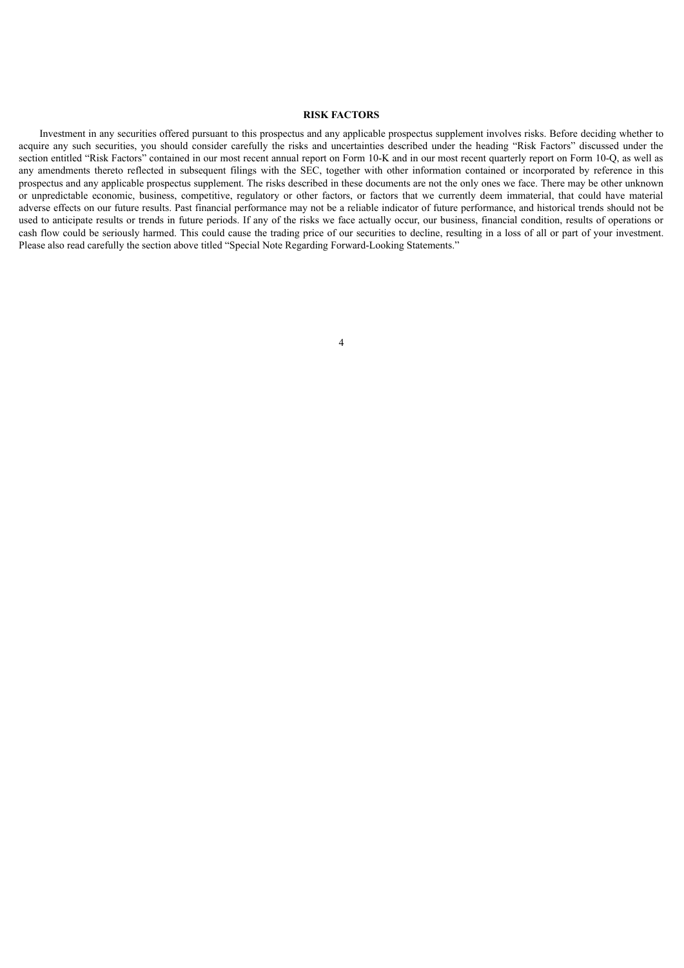## **RISK FACTORS**

<span id="page-6-0"></span>Investment in any securities offered pursuant to this prospectus and any applicable prospectus supplement involves risks. Before deciding whether to acquire any such securities, you should consider carefully the risks and uncertainties described under the heading "Risk Factors" discussed under the section entitled "Risk Factors" contained in our most recent annual report on Form 10-K and in our most recent quarterly report on Form 10-Q, as well as any amendments thereto reflected in subsequent filings with the SEC, together with other information contained or incorporated by reference in this prospectus and any applicable prospectus supplement. The risks described in these documents are not the only ones we face. There may be other unknown or unpredictable economic, business, competitive, regulatory or other factors, or factors that we currently deem immaterial, that could have material adverse effects on our future results. Past financial performance may not be a reliable indicator of future performance, and historical trends should not be used to anticipate results or trends in future periods. If any of the risks we face actually occur, our business, financial condition, results of operations or cash flow could be seriously harmed. This could cause the trading price of our securities to decline, resulting in a loss of all or part of your investment. Please also read carefully the section above titled "Special Note Regarding Forward-Looking Statements."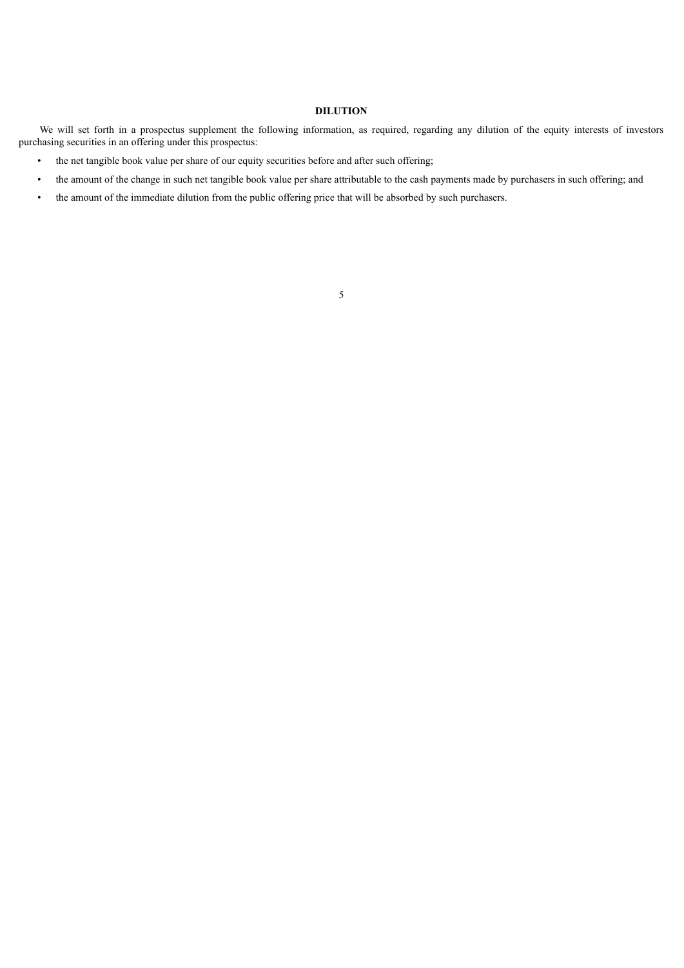## **DILUTION**

<span id="page-7-0"></span>We will set forth in a prospectus supplement the following information, as required, regarding any dilution of the equity interests of investors purchasing securities in an offering under this prospectus:

- the net tangible book value per share of our equity securities before and after such offering;
- the amount of the change in such net tangible book value per share attributable to the cash payments made by purchasers in such offering; and
- the amount of the immediate dilution from the public offering price that will be absorbed by such purchasers.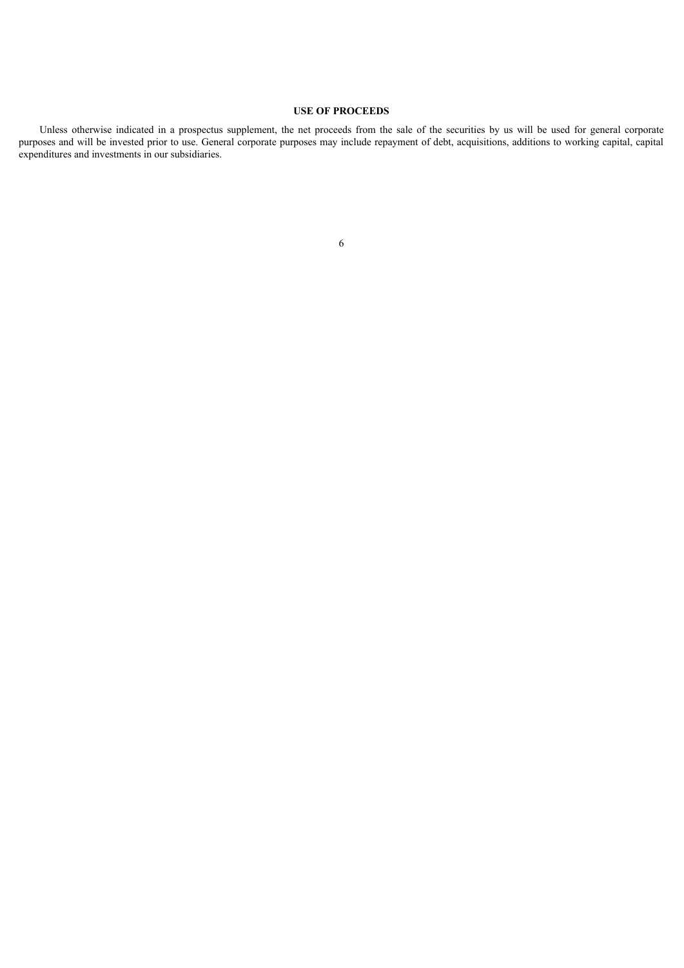## **USE OF PROCEEDS**

<span id="page-8-0"></span>Unless otherwise indicated in a prospectus supplement, the net proceeds from the sale of the securities by us will be used for general corporate purposes and will be invested prior to use. General corporate purposes may include repayment of debt, acquisitions, additions to working capital, capital expenditures and investments in our subsidiaries.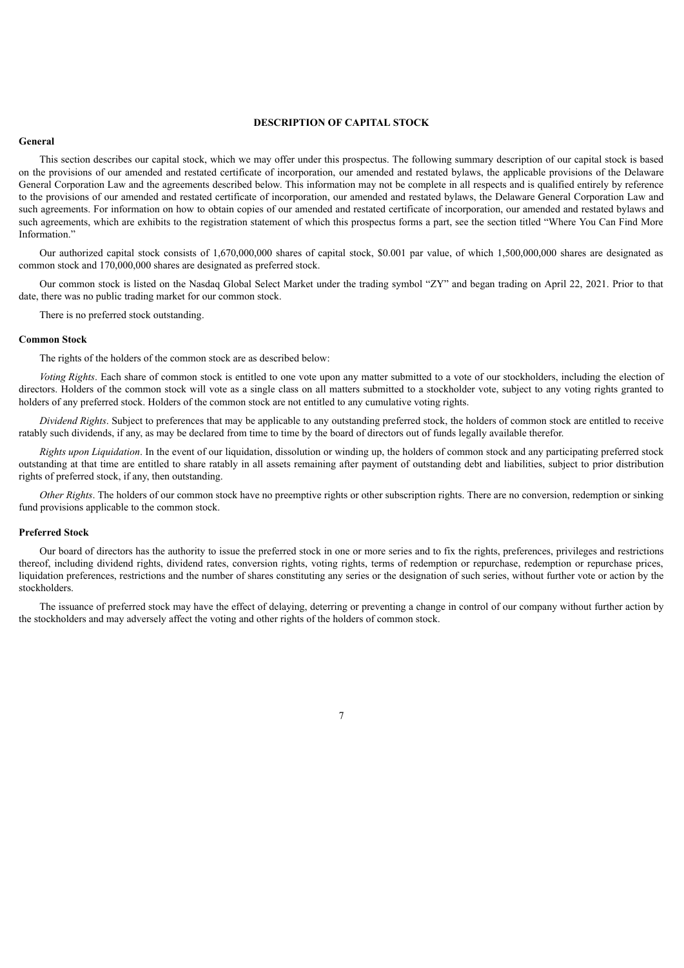#### **DESCRIPTION OF CAPITAL STOCK**

#### <span id="page-9-0"></span>**General**

This section describes our capital stock, which we may offer under this prospectus. The following summary description of our capital stock is based on the provisions of our amended and restated certificate of incorporation, our amended and restated bylaws, the applicable provisions of the Delaware General Corporation Law and the agreements described below. This information may not be complete in all respects and is qualified entirely by reference to the provisions of our amended and restated certificate of incorporation, our amended and restated bylaws, the Delaware General Corporation Law and such agreements. For information on how to obtain copies of our amended and restated certificate of incorporation, our amended and restated bylaws and such agreements, which are exhibits to the registration statement of which this prospectus forms a part, see the section titled "Where You Can Find More Information."

Our authorized capital stock consists of 1,670,000,000 shares of capital stock, \$0.001 par value, of which 1,500,000,000 shares are designated as common stock and 170,000,000 shares are designated as preferred stock.

Our common stock is listed on the Nasdaq Global Select Market under the trading symbol "ZY" and began trading on April 22, 2021. Prior to that date, there was no public trading market for our common stock.

There is no preferred stock outstanding.

#### **Common Stock**

The rights of the holders of the common stock are as described below:

*Voting Rights*. Each share of common stock is entitled to one vote upon any matter submitted to a vote of our stockholders, including the election of directors. Holders of the common stock will vote as a single class on all matters submitted to a stockholder vote, subject to any voting rights granted to holders of any preferred stock. Holders of the common stock are not entitled to any cumulative voting rights.

*Dividend Rights*. Subject to preferences that may be applicable to any outstanding preferred stock, the holders of common stock are entitled to receive ratably such dividends, if any, as may be declared from time to time by the board of directors out of funds legally available therefor.

*Rights upon Liquidation*. In the event of our liquidation, dissolution or winding up, the holders of common stock and any participating preferred stock outstanding at that time are entitled to share ratably in all assets remaining after payment of outstanding debt and liabilities, subject to prior distribution rights of preferred stock, if any, then outstanding.

*Other Rights*. The holders of our common stock have no preemptive rights or other subscription rights. There are no conversion, redemption or sinking fund provisions applicable to the common stock.

#### **Preferred Stock**

Our board of directors has the authority to issue the preferred stock in one or more series and to fix the rights, preferences, privileges and restrictions thereof, including dividend rights, dividend rates, conversion rights, voting rights, terms of redemption or repurchase, redemption or repurchase prices, liquidation preferences, restrictions and the number of shares constituting any series or the designation of such series, without further vote or action by the stockholders.

The issuance of preferred stock may have the effect of delaying, deterring or preventing a change in control of our company without further action by the stockholders and may adversely affect the voting and other rights of the holders of common stock.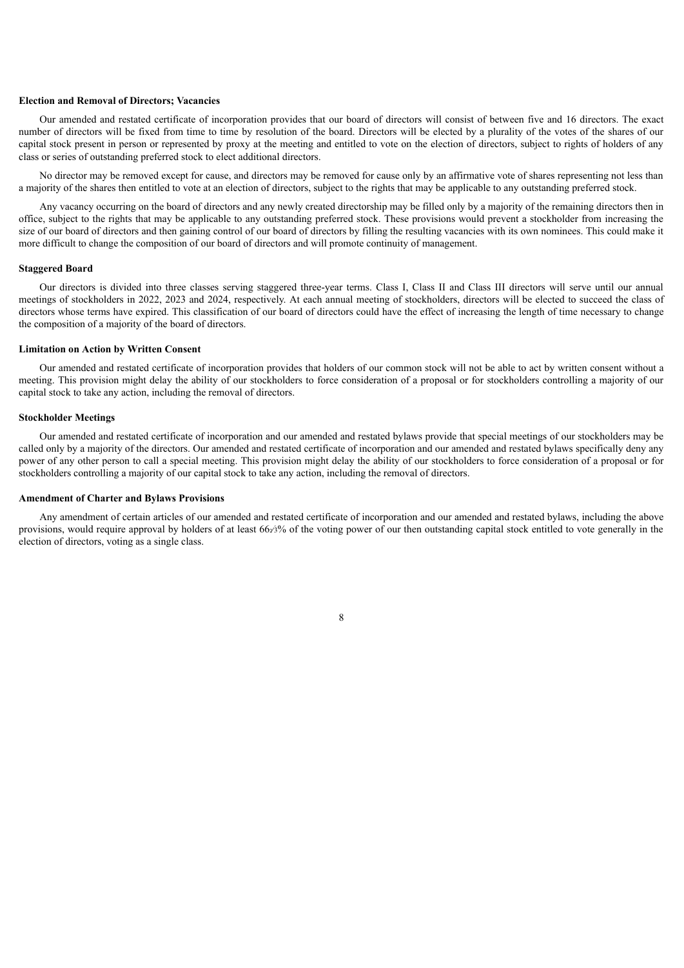#### **Election and Removal of Directors; Vacancies**

Our amended and restated certificate of incorporation provides that our board of directors will consist of between five and 16 directors. The exact number of directors will be fixed from time to time by resolution of the board. Directors will be elected by a plurality of the votes of the shares of our capital stock present in person or represented by proxy at the meeting and entitled to vote on the election of directors, subject to rights of holders of any class or series of outstanding preferred stock to elect additional directors.

No director may be removed except for cause, and directors may be removed for cause only by an affirmative vote of shares representing not less than a majority of the shares then entitled to vote at an election of directors, subject to the rights that may be applicable to any outstanding preferred stock.

Any vacancy occurring on the board of directors and any newly created directorship may be filled only by a majority of the remaining directors then in office, subject to the rights that may be applicable to any outstanding preferred stock. These provisions would prevent a stockholder from increasing the size of our board of directors and then gaining control of our board of directors by filling the resulting vacancies with its own nominees. This could make it more difficult to change the composition of our board of directors and will promote continuity of management.

#### **Staggered Board**

Our directors is divided into three classes serving staggered three-year terms. Class I, Class II and Class III directors will serve until our annual meetings of stockholders in 2022, 2023 and 2024, respectively. At each annual meeting of stockholders, directors will be elected to succeed the class of directors whose terms have expired. This classification of our board of directors could have the effect of increasing the length of time necessary to change the composition of a majority of the board of directors.

#### **Limitation on Action by Written Consent**

Our amended and restated certificate of incorporation provides that holders of our common stock will not be able to act by written consent without a meeting. This provision might delay the ability of our stockholders to force consideration of a proposal or for stockholders controlling a majority of our capital stock to take any action, including the removal of directors.

#### **Stockholder Meetings**

Our amended and restated certificate of incorporation and our amended and restated bylaws provide that special meetings of our stockholders may be called only by a majority of the directors. Our amended and restated certificate of incorporation and our amended and restated bylaws specifically deny any power of any other person to call a special meeting. This provision might delay the ability of our stockholders to force consideration of a proposal or for stockholders controlling a majority of our capital stock to take any action, including the removal of directors.

#### **Amendment of Charter and Bylaws Provisions**

Any amendment of certain articles of our amended and restated certificate of incorporation and our amended and restated bylaws, including the above provisions, would require approval by holders of at least 66∞3% of the voting power of our then outstanding capital stock entitled to vote generally in the election of directors, voting as a single class.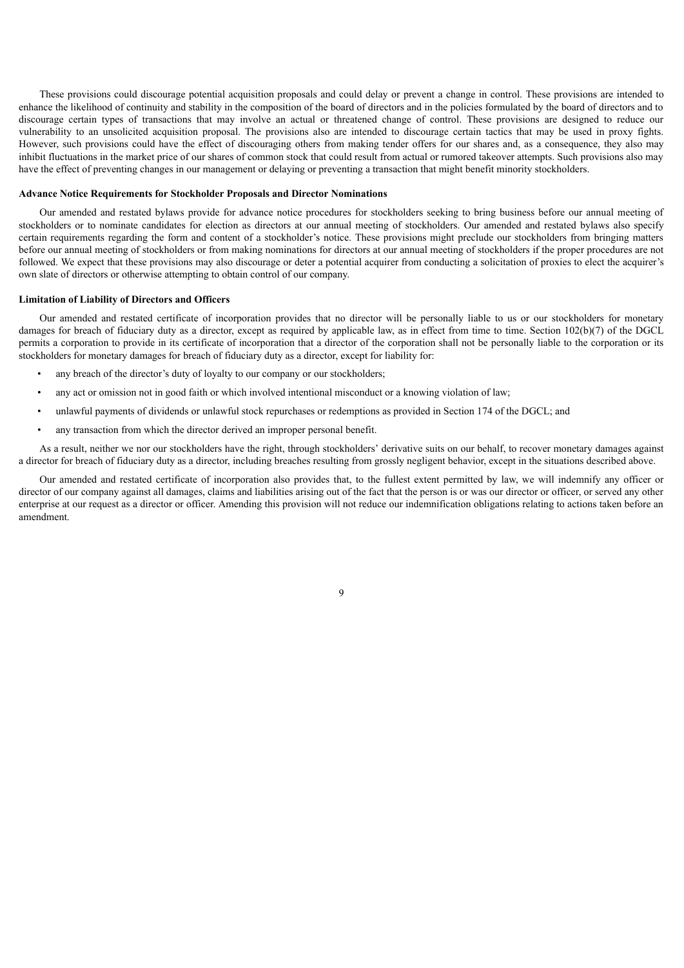These provisions could discourage potential acquisition proposals and could delay or prevent a change in control. These provisions are intended to enhance the likelihood of continuity and stability in the composition of the board of directors and in the policies formulated by the board of directors and to discourage certain types of transactions that may involve an actual or threatened change of control. These provisions are designed to reduce our vulnerability to an unsolicited acquisition proposal. The provisions also are intended to discourage certain tactics that may be used in proxy fights. However, such provisions could have the effect of discouraging others from making tender offers for our shares and, as a consequence, they also may inhibit fluctuations in the market price of our shares of common stock that could result from actual or rumored takeover attempts. Such provisions also may have the effect of preventing changes in our management or delaying or preventing a transaction that might benefit minority stockholders.

#### **Advance Notice Requirements for Stockholder Proposals and Director Nominations**

Our amended and restated bylaws provide for advance notice procedures for stockholders seeking to bring business before our annual meeting of stockholders or to nominate candidates for election as directors at our annual meeting of stockholders. Our amended and restated bylaws also specify certain requirements regarding the form and content of a stockholder's notice. These provisions might preclude our stockholders from bringing matters before our annual meeting of stockholders or from making nominations for directors at our annual meeting of stockholders if the proper procedures are not followed. We expect that these provisions may also discourage or deter a potential acquirer from conducting a solicitation of proxies to elect the acquirer's own slate of directors or otherwise attempting to obtain control of our company.

#### **Limitation of Liability of Directors and Officers**

Our amended and restated certificate of incorporation provides that no director will be personally liable to us or our stockholders for monetary damages for breach of fiduciary duty as a director, except as required by applicable law, as in effect from time to time. Section 102(b)(7) of the DGCL permits a corporation to provide in its certificate of incorporation that a director of the corporation shall not be personally liable to the corporation or its stockholders for monetary damages for breach of fiduciary duty as a director, except for liability for:

- any breach of the director's duty of loyalty to our company or our stockholders;
- any act or omission not in good faith or which involved intentional misconduct or a knowing violation of law;
- unlawful payments of dividends or unlawful stock repurchases or redemptions as provided in Section 174 of the DGCL; and
- any transaction from which the director derived an improper personal benefit.

As a result, neither we nor our stockholders have the right, through stockholders' derivative suits on our behalf, to recover monetary damages against a director for breach of fiduciary duty as a director, including breaches resulting from grossly negligent behavior, except in the situations described above.

Our amended and restated certificate of incorporation also provides that, to the fullest extent permitted by law, we will indemnify any officer or director of our company against all damages, claims and liabilities arising out of the fact that the person is or was our director or officer, or served any other enterprise at our request as a director or officer. Amending this provision will not reduce our indemnification obligations relating to actions taken before an amendment.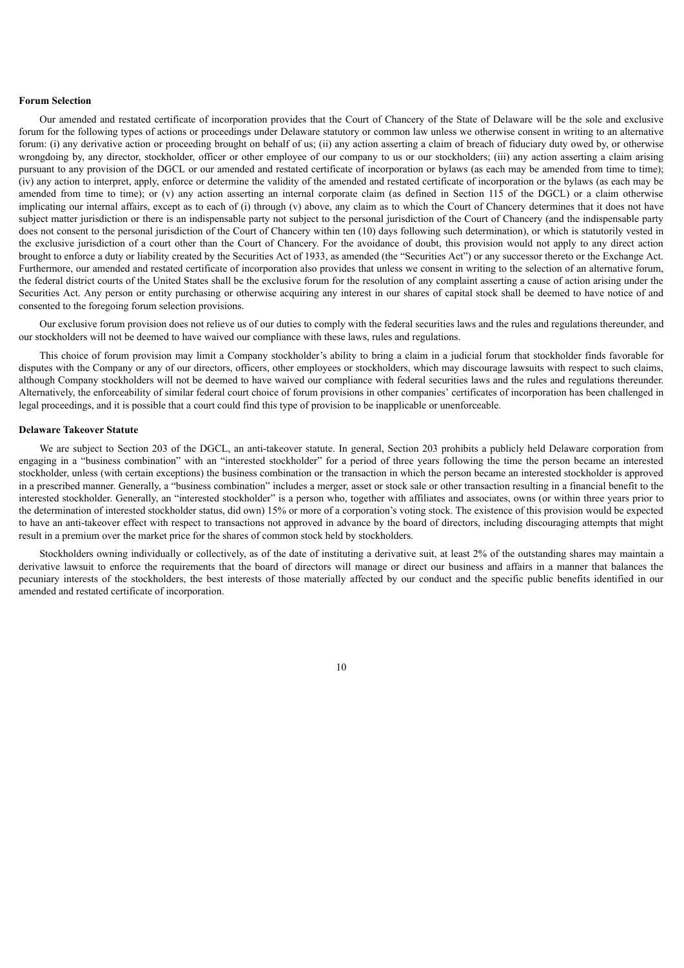#### **Forum Selection**

Our amended and restated certificate of incorporation provides that the Court of Chancery of the State of Delaware will be the sole and exclusive forum for the following types of actions or proceedings under Delaware statutory or common law unless we otherwise consent in writing to an alternative forum: (i) any derivative action or proceeding brought on behalf of us; (ii) any action asserting a claim of breach of fiduciary duty owed by, or otherwise wrongdoing by, any director, stockholder, officer or other employee of our company to us or our stockholders; (iii) any action asserting a claim arising pursuant to any provision of the DGCL or our amended and restated certificate of incorporation or bylaws (as each may be amended from time to time); (iv) any action to interpret, apply, enforce or determine the validity of the amended and restated certificate of incorporation or the bylaws (as each may be amended from time to time); or (v) any action asserting an internal corporate claim (as defined in Section 115 of the DGCL) or a claim otherwise implicating our internal affairs, except as to each of (i) through (v) above, any claim as to which the Court of Chancery determines that it does not have subject matter jurisdiction or there is an indispensable party not subject to the personal jurisdiction of the Court of Chancery (and the indispensable party does not consent to the personal jurisdiction of the Court of Chancery within ten (10) days following such determination), or which is statutorily vested in the exclusive jurisdiction of a court other than the Court of Chancery. For the avoidance of doubt, this provision would not apply to any direct action brought to enforce a duty or liability created by the Securities Act of 1933, as amended (the "Securities Act") or any successor thereto or the Exchange Act. Furthermore, our amended and restated certificate of incorporation also provides that unless we consent in writing to the selection of an alternative forum, the federal district courts of the United States shall be the exclusive forum for the resolution of any complaint asserting a cause of action arising under the Securities Act. Any person or entity purchasing or otherwise acquiring any interest in our shares of capital stock shall be deemed to have notice of and consented to the foregoing forum selection provisions.

Our exclusive forum provision does not relieve us of our duties to comply with the federal securities laws and the rules and regulations thereunder, and our stockholders will not be deemed to have waived our compliance with these laws, rules and regulations.

This choice of forum provision may limit a Company stockholder's ability to bring a claim in a judicial forum that stockholder finds favorable for disputes with the Company or any of our directors, officers, other employees or stockholders, which may discourage lawsuits with respect to such claims, although Company stockholders will not be deemed to have waived our compliance with federal securities laws and the rules and regulations thereunder. Alternatively, the enforceability of similar federal court choice of forum provisions in other companies' certificates of incorporation has been challenged in legal proceedings, and it is possible that a court could find this type of provision to be inapplicable or unenforceable.

#### **Delaware Takeover Statute**

We are subject to Section 203 of the DGCL, an anti-takeover statute. In general, Section 203 prohibits a publicly held Delaware corporation from engaging in a "business combination" with an "interested stockholder" for a period of three years following the time the person became an interested stockholder, unless (with certain exceptions) the business combination or the transaction in which the person became an interested stockholder is approved in a prescribed manner. Generally, a "business combination" includes a merger, asset or stock sale or other transaction resulting in a financial benefit to the interested stockholder. Generally, an "interested stockholder" is a person who, together with affiliates and associates, owns (or within three years prior to the determination of interested stockholder status, did own) 15% or more of a corporation's voting stock. The existence of this provision would be expected to have an anti-takeover effect with respect to transactions not approved in advance by the board of directors, including discouraging attempts that might result in a premium over the market price for the shares of common stock held by stockholders.

Stockholders owning individually or collectively, as of the date of instituting a derivative suit, at least 2% of the outstanding shares may maintain a derivative lawsuit to enforce the requirements that the board of directors will manage or direct our business and affairs in a manner that balances the pecuniary interests of the stockholders, the best interests of those materially affected by our conduct and the specific public benefits identified in our amended and restated certificate of incorporation.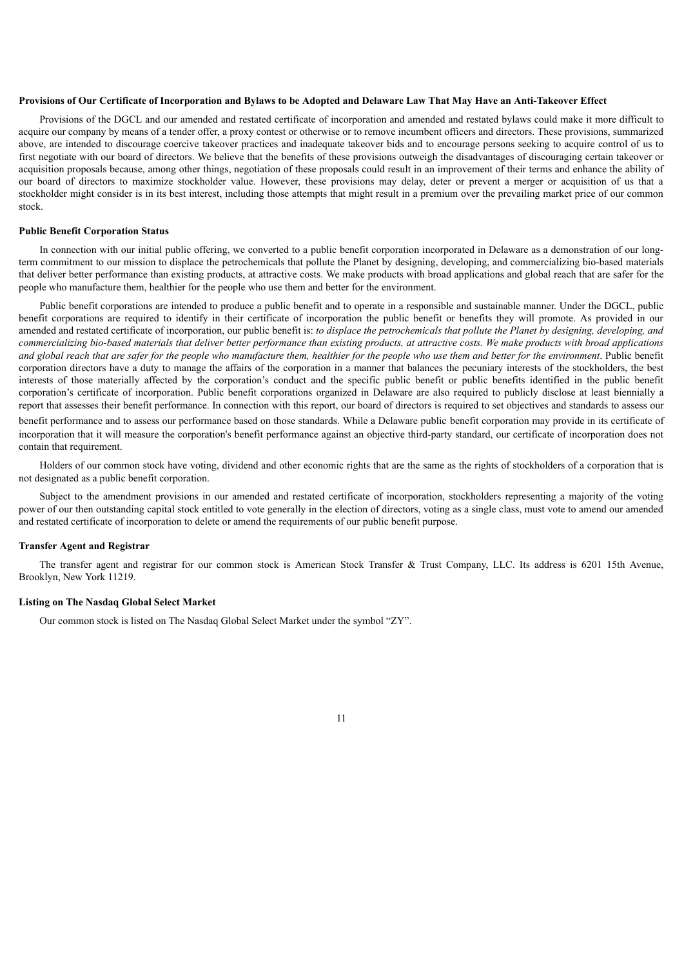#### Provisions of Our Certificate of Incorporation and Bylaws to be Adopted and Delaware Law That May Have an Anti-Takeover Effect

Provisions of the DGCL and our amended and restated certificate of incorporation and amended and restated bylaws could make it more difficult to acquire our company by means of a tender offer, a proxy contest or otherwise or to remove incumbent officers and directors. These provisions, summarized above, are intended to discourage coercive takeover practices and inadequate takeover bids and to encourage persons seeking to acquire control of us to first negotiate with our board of directors. We believe that the benefits of these provisions outweigh the disadvantages of discouraging certain takeover or acquisition proposals because, among other things, negotiation of these proposals could result in an improvement of their terms and enhance the ability of our board of directors to maximize stockholder value. However, these provisions may delay, deter or prevent a merger or acquisition of us that a stockholder might consider is in its best interest, including those attempts that might result in a premium over the prevailing market price of our common stock.

#### **Public Benefit Corporation Status**

In connection with our initial public offering, we converted to a public benefit corporation incorporated in Delaware as a demonstration of our longterm commitment to our mission to displace the petrochemicals that pollute the Planet by designing, developing, and commercializing bio-based materials that deliver better performance than existing products, at attractive costs. We make products with broad applications and global reach that are safer for the people who manufacture them, healthier for the people who use them and better for the environment.

Public benefit corporations are intended to produce a public benefit and to operate in a responsible and sustainable manner. Under the DGCL, public benefit corporations are required to identify in their certificate of incorporation the public benefit or benefits they will promote. As provided in our amended and restated certificate of incorporation, our public benefit is: to displace the petrochemicals that pollute the Planet by designing, developing, and commercializing bio-based materials that deliver better performance than existing products, at attractive costs. We make products with broad applications and global reach that are safer for the people who manufacture them, healthier for the people who use them and better for the environment. Public benefit corporation directors have a duty to manage the affairs of the corporation in a manner that balances the pecuniary interests of the stockholders, the best interests of those materially affected by the corporation's conduct and the specific public benefit or public benefits identified in the public benefit corporation's certificate of incorporation. Public benefit corporations organized in Delaware are also required to publicly disclose at least biennially a report that assesses their benefit performance. In connection with this report, our board of directors is required to set objectives and standards to assess our benefit performance and to assess our performance based on those standards. While a Delaware public benefit corporation may provide in its certificate of incorporation that it will measure the corporation's benefit performance against an objective third-party standard, our certificate of incorporation does not contain that requirement.

Holders of our common stock have voting, dividend and other economic rights that are the same as the rights of stockholders of a corporation that is not designated as a public benefit corporation.

Subject to the amendment provisions in our amended and restated certificate of incorporation, stockholders representing a majority of the voting power of our then outstanding capital stock entitled to vote generally in the election of directors, voting as a single class, must vote to amend our amended and restated certificate of incorporation to delete or amend the requirements of our public benefit purpose.

#### **Transfer Agent and Registrar**

The transfer agent and registrar for our common stock is American Stock Transfer & Trust Company, LLC. Its address is 6201 15th Avenue, Brooklyn, New York 11219.

#### **Listing on The Nasdaq Global Select Market**

Our common stock is listed on The Nasdaq Global Select Market under the symbol "ZY".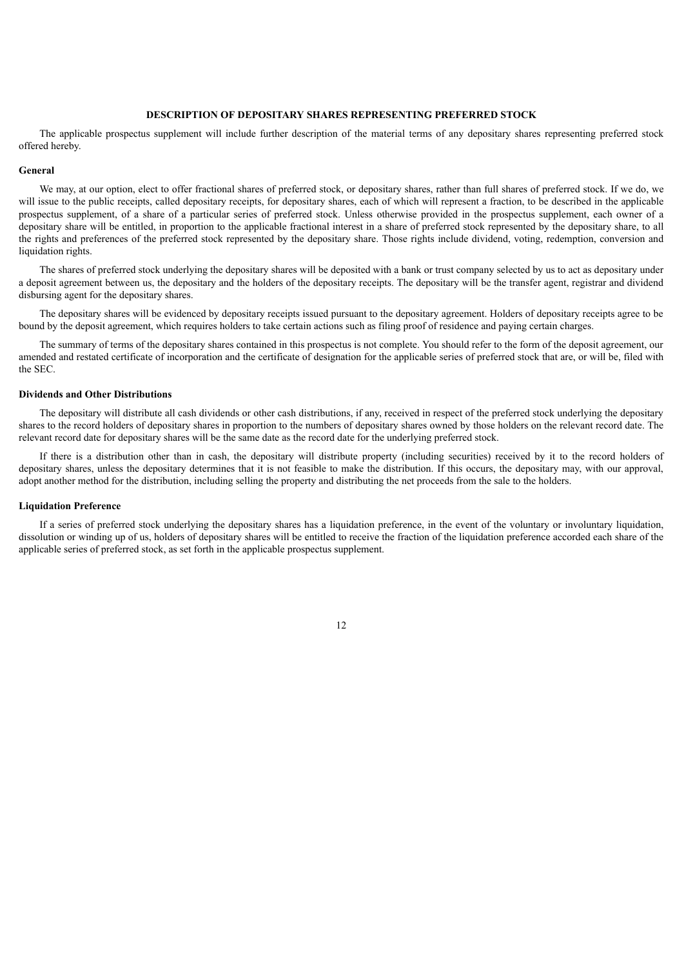## **DESCRIPTION OF DEPOSITARY SHARES REPRESENTING PREFERRED STOCK**

<span id="page-14-0"></span>The applicable prospectus supplement will include further description of the material terms of any depositary shares representing preferred stock offered hereby.

#### **General**

We may, at our option, elect to offer fractional shares of preferred stock, or depositary shares, rather than full shares of preferred stock. If we do, we will issue to the public receipts, called depositary receipts, for depositary shares, each of which will represent a fraction, to be described in the applicable prospectus supplement, of a share of a particular series of preferred stock. Unless otherwise provided in the prospectus supplement, each owner of a depositary share will be entitled, in proportion to the applicable fractional interest in a share of preferred stock represented by the depositary share, to all the rights and preferences of the preferred stock represented by the depositary share. Those rights include dividend, voting, redemption, conversion and liquidation rights.

The shares of preferred stock underlying the depositary shares will be deposited with a bank or trust company selected by us to act as depositary under a deposit agreement between us, the depositary and the holders of the depositary receipts. The depositary will be the transfer agent, registrar and dividend disbursing agent for the depositary shares.

The depositary shares will be evidenced by depositary receipts issued pursuant to the depositary agreement. Holders of depositary receipts agree to be bound by the deposit agreement, which requires holders to take certain actions such as filing proof of residence and paying certain charges.

The summary of terms of the depositary shares contained in this prospectus is not complete. You should refer to the form of the deposit agreement, our amended and restated certificate of incorporation and the certificate of designation for the applicable series of preferred stock that are, or will be, filed with the SEC.

#### **Dividends and Other Distributions**

The depositary will distribute all cash dividends or other cash distributions, if any, received in respect of the preferred stock underlying the depositary shares to the record holders of depositary shares in proportion to the numbers of depositary shares owned by those holders on the relevant record date. The relevant record date for depositary shares will be the same date as the record date for the underlying preferred stock.

If there is a distribution other than in cash, the depositary will distribute property (including securities) received by it to the record holders of depositary shares, unless the depositary determines that it is not feasible to make the distribution. If this occurs, the depositary may, with our approval, adopt another method for the distribution, including selling the property and distributing the net proceeds from the sale to the holders.

#### **Liquidation Preference**

If a series of preferred stock underlying the depositary shares has a liquidation preference, in the event of the voluntary or involuntary liquidation, dissolution or winding up of us, holders of depositary shares will be entitled to receive the fraction of the liquidation preference accorded each share of the applicable series of preferred stock, as set forth in the applicable prospectus supplement.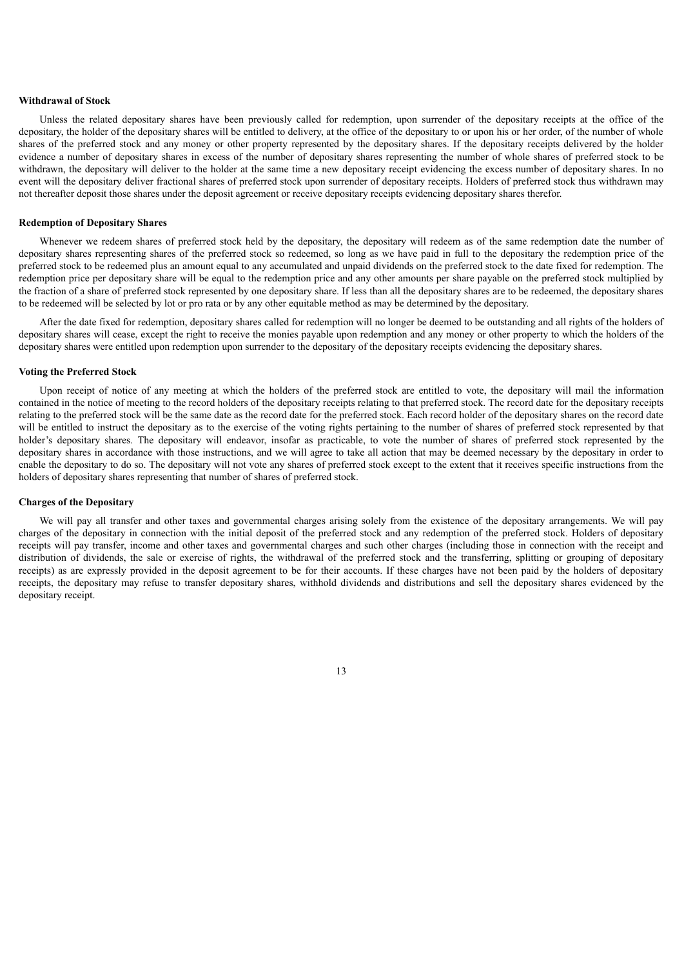#### **Withdrawal of Stock**

Unless the related depositary shares have been previously called for redemption, upon surrender of the depositary receipts at the office of the depositary, the holder of the depositary shares will be entitled to delivery, at the office of the depositary to or upon his or her order, of the number of whole shares of the preferred stock and any money or other property represented by the depositary shares. If the depositary receipts delivered by the holder evidence a number of depositary shares in excess of the number of depositary shares representing the number of whole shares of preferred stock to be withdrawn, the depositary will deliver to the holder at the same time a new depositary receipt evidencing the excess number of depositary shares. In no event will the depositary deliver fractional shares of preferred stock upon surrender of depositary receipts. Holders of preferred stock thus withdrawn may not thereafter deposit those shares under the deposit agreement or receive depositary receipts evidencing depositary shares therefor.

#### **Redemption of Depositary Shares**

Whenever we redeem shares of preferred stock held by the depositary, the depositary will redeem as of the same redemption date the number of depositary shares representing shares of the preferred stock so redeemed, so long as we have paid in full to the depositary the redemption price of the preferred stock to be redeemed plus an amount equal to any accumulated and unpaid dividends on the preferred stock to the date fixed for redemption. The redemption price per depositary share will be equal to the redemption price and any other amounts per share payable on the preferred stock multiplied by the fraction of a share of preferred stock represented by one depositary share. If less than all the depositary shares are to be redeemed, the depositary shares to be redeemed will be selected by lot or pro rata or by any other equitable method as may be determined by the depositary.

After the date fixed for redemption, depositary shares called for redemption will no longer be deemed to be outstanding and all rights of the holders of depositary shares will cease, except the right to receive the monies payable upon redemption and any money or other property to which the holders of the depositary shares were entitled upon redemption upon surrender to the depositary of the depositary receipts evidencing the depositary shares.

## **Voting the Preferred Stock**

Upon receipt of notice of any meeting at which the holders of the preferred stock are entitled to vote, the depositary will mail the information contained in the notice of meeting to the record holders of the depositary receipts relating to that preferred stock. The record date for the depositary receipts relating to the preferred stock will be the same date as the record date for the preferred stock. Each record holder of the depositary shares on the record date will be entitled to instruct the depositary as to the exercise of the voting rights pertaining to the number of shares of preferred stock represented by that holder's depositary shares. The depositary will endeavor, insofar as practicable, to vote the number of shares of preferred stock represented by the depositary shares in accordance with those instructions, and we will agree to take all action that may be deemed necessary by the depositary in order to enable the depositary to do so. The depositary will not vote any shares of preferred stock except to the extent that it receives specific instructions from the holders of depositary shares representing that number of shares of preferred stock.

#### **Charges of the Depositary**

We will pay all transfer and other taxes and governmental charges arising solely from the existence of the depositary arrangements. We will pay charges of the depositary in connection with the initial deposit of the preferred stock and any redemption of the preferred stock. Holders of depositary receipts will pay transfer, income and other taxes and governmental charges and such other charges (including those in connection with the receipt and distribution of dividends, the sale or exercise of rights, the withdrawal of the preferred stock and the transferring, splitting or grouping of depositary receipts) as are expressly provided in the deposit agreement to be for their accounts. If these charges have not been paid by the holders of depositary receipts, the depositary may refuse to transfer depositary shares, withhold dividends and distributions and sell the depositary shares evidenced by the depositary receipt.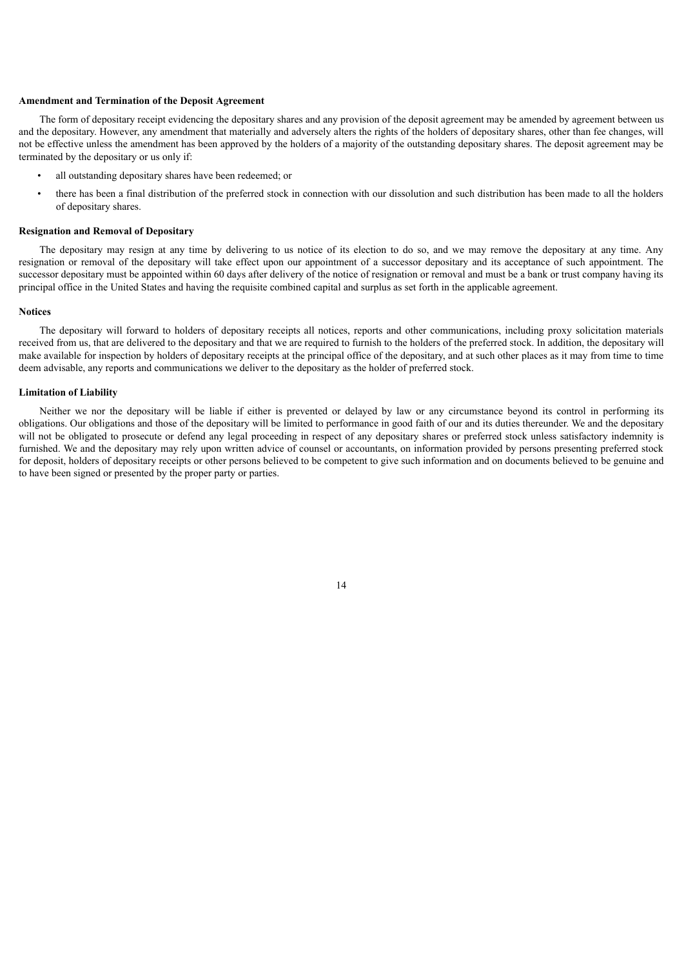#### **Amendment and Termination of the Deposit Agreement**

The form of depositary receipt evidencing the depositary shares and any provision of the deposit agreement may be amended by agreement between us and the depositary. However, any amendment that materially and adversely alters the rights of the holders of depositary shares, other than fee changes, will not be effective unless the amendment has been approved by the holders of a majority of the outstanding depositary shares. The deposit agreement may be terminated by the depositary or us only if:

- all outstanding depositary shares have been redeemed; or
- there has been a final distribution of the preferred stock in connection with our dissolution and such distribution has been made to all the holders of depositary shares.

#### **Resignation and Removal of Depositary**

The depositary may resign at any time by delivering to us notice of its election to do so, and we may remove the depositary at any time. Any resignation or removal of the depositary will take effect upon our appointment of a successor depositary and its acceptance of such appointment. The successor depositary must be appointed within 60 days after delivery of the notice of resignation or removal and must be a bank or trust company having its principal office in the United States and having the requisite combined capital and surplus as set forth in the applicable agreement.

#### **Notices**

The depositary will forward to holders of depositary receipts all notices, reports and other communications, including proxy solicitation materials received from us, that are delivered to the depositary and that we are required to furnish to the holders of the preferred stock. In addition, the depositary will make available for inspection by holders of depositary receipts at the principal office of the depositary, and at such other places as it may from time to time deem advisable, any reports and communications we deliver to the depositary as the holder of preferred stock.

#### **Limitation of Liability**

Neither we nor the depositary will be liable if either is prevented or delayed by law or any circumstance beyond its control in performing its obligations. Our obligations and those of the depositary will be limited to performance in good faith of our and its duties thereunder. We and the depositary will not be obligated to prosecute or defend any legal proceeding in respect of any depositary shares or preferred stock unless satisfactory indemnity is furnished. We and the depositary may rely upon written advice of counsel or accountants, on information provided by persons presenting preferred stock for deposit, holders of depositary receipts or other persons believed to be competent to give such information and on documents believed to be genuine and to have been signed or presented by the proper party or parties.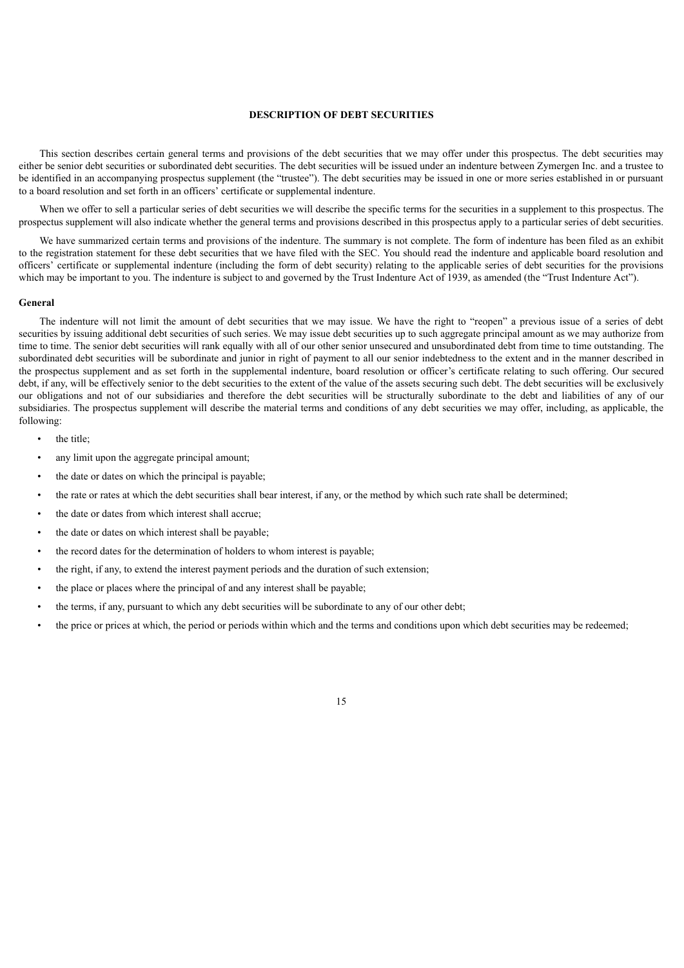## **DESCRIPTION OF DEBT SECURITIES**

<span id="page-17-0"></span>This section describes certain general terms and provisions of the debt securities that we may offer under this prospectus. The debt securities may either be senior debt securities or subordinated debt securities. The debt securities will be issued under an indenture between Zymergen Inc. and a trustee to be identified in an accompanying prospectus supplement (the "trustee"). The debt securities may be issued in one or more series established in or pursuant to a board resolution and set forth in an officers' certificate or supplemental indenture.

When we offer to sell a particular series of debt securities we will describe the specific terms for the securities in a supplement to this prospectus. The prospectus supplement will also indicate whether the general terms and provisions described in this prospectus apply to a particular series of debt securities.

We have summarized certain terms and provisions of the indenture. The summary is not complete. The form of indenture has been filed as an exhibit to the registration statement for these debt securities that we have filed with the SEC. You should read the indenture and applicable board resolution and officers' certificate or supplemental indenture (including the form of debt security) relating to the applicable series of debt securities for the provisions which may be important to you. The indenture is subject to and governed by the Trust Indenture Act of 1939, as amended (the "Trust Indenture Act").

#### **General**

The indenture will not limit the amount of debt securities that we may issue. We have the right to "reopen" a previous issue of a series of debt securities by issuing additional debt securities of such series. We may issue debt securities up to such aggregate principal amount as we may authorize from time to time. The senior debt securities will rank equally with all of our other senior unsecured and unsubordinated debt from time to time outstanding. The subordinated debt securities will be subordinate and junior in right of payment to all our senior indebtedness to the extent and in the manner described in the prospectus supplement and as set forth in the supplemental indenture, board resolution or officer's certificate relating to such offering. Our secured debt, if any, will be effectively senior to the debt securities to the extent of the value of the assets securing such debt. The debt securities will be exclusively our obligations and not of our subsidiaries and therefore the debt securities will be structurally subordinate to the debt and liabilities of any of our subsidiaries. The prospectus supplement will describe the material terms and conditions of any debt securities we may offer, including, as applicable, the following:

- the title:
- any limit upon the aggregate principal amount;
- the date or dates on which the principal is payable;
- the rate or rates at which the debt securities shall bear interest, if any, or the method by which such rate shall be determined;
- the date or dates from which interest shall accrue:
- the date or dates on which interest shall be payable;
- the record dates for the determination of holders to whom interest is payable;
- the right, if any, to extend the interest payment periods and the duration of such extension;
- the place or places where the principal of and any interest shall be payable;
- the terms, if any, pursuant to which any debt securities will be subordinate to any of our other debt;
- the price or prices at which, the period or periods within which and the terms and conditions upon which debt securities may be redeemed;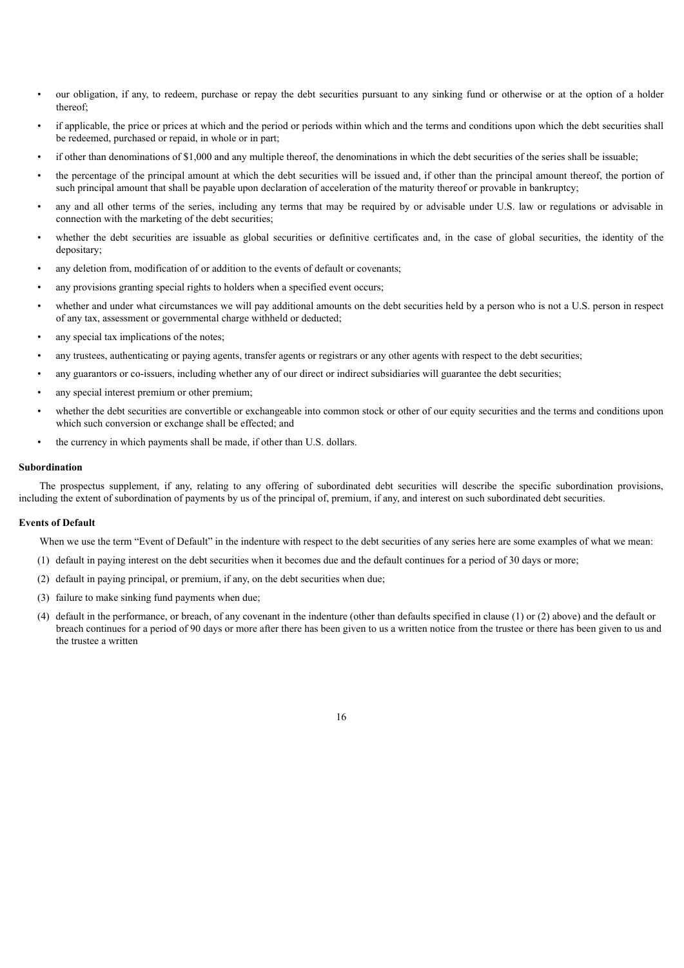- our obligation, if any, to redeem, purchase or repay the debt securities pursuant to any sinking fund or otherwise or at the option of a holder thereof;
- if applicable, the price or prices at which and the period or periods within which and the terms and conditions upon which the debt securities shall be redeemed, purchased or repaid, in whole or in part;
- if other than denominations of \$1,000 and any multiple thereof, the denominations in which the debt securities of the series shall be issuable;
- the percentage of the principal amount at which the debt securities will be issued and, if other than the principal amount thereof, the portion of such principal amount that shall be payable upon declaration of acceleration of the maturity thereof or provable in bankruptcy;
- any and all other terms of the series, including any terms that may be required by or advisable under U.S. law or regulations or advisable in connection with the marketing of the debt securities;
- whether the debt securities are issuable as global securities or definitive certificates and, in the case of global securities, the identity of the depositary;
- any deletion from, modification of or addition to the events of default or covenants;
- any provisions granting special rights to holders when a specified event occurs;
- whether and under what circumstances we will pay additional amounts on the debt securities held by a person who is not a U.S. person in respect of any tax, assessment or governmental charge withheld or deducted;
- any special tax implications of the notes;
- any trustees, authenticating or paying agents, transfer agents or registrars or any other agents with respect to the debt securities;
- any guarantors or co-issuers, including whether any of our direct or indirect subsidiaries will guarantee the debt securities;
- any special interest premium or other premium;
- whether the debt securities are convertible or exchangeable into common stock or other of our equity securities and the terms and conditions upon which such conversion or exchange shall be effected; and
- the currency in which payments shall be made, if other than U.S. dollars.

#### **Subordination**

The prospectus supplement, if any, relating to any offering of subordinated debt securities will describe the specific subordination provisions, including the extent of subordination of payments by us of the principal of, premium, if any, and interest on such subordinated debt securities.

#### **Events of Default**

When we use the term "Event of Default" in the indenture with respect to the debt securities of any series here are some examples of what we mean:

- (1) default in paying interest on the debt securities when it becomes due and the default continues for a period of 30 days or more;
- (2) default in paying principal, or premium, if any, on the debt securities when due;
- (3) failure to make sinking fund payments when due;
- (4) default in the performance, or breach, of any covenant in the indenture (other than defaults specified in clause (1) or (2) above) and the default or breach continues for a period of 90 days or more after there has been given to us a written notice from the trustee or there has been given to us and the trustee a written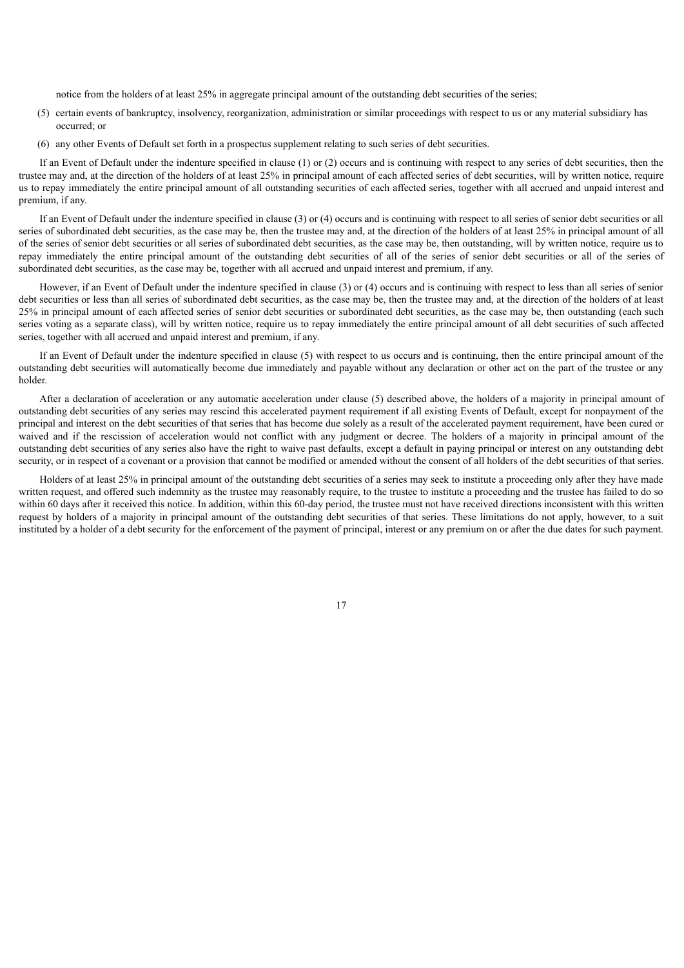notice from the holders of at least 25% in aggregate principal amount of the outstanding debt securities of the series;

- (5) certain events of bankruptcy, insolvency, reorganization, administration or similar proceedings with respect to us or any material subsidiary has occurred; or
- (6) any other Events of Default set forth in a prospectus supplement relating to such series of debt securities.

If an Event of Default under the indenture specified in clause (1) or (2) occurs and is continuing with respect to any series of debt securities, then the trustee may and, at the direction of the holders of at least 25% in principal amount of each affected series of debt securities, will by written notice, require us to repay immediately the entire principal amount of all outstanding securities of each affected series, together with all accrued and unpaid interest and premium, if any.

If an Event of Default under the indenture specified in clause (3) or (4) occurs and is continuing with respect to all series of senior debt securities or all series of subordinated debt securities, as the case may be, then the trustee may and, at the direction of the holders of at least 25% in principal amount of all of the series of senior debt securities or all series of subordinated debt securities, as the case may be, then outstanding, will by written notice, require us to repay immediately the entire principal amount of the outstanding debt securities of all of the series of senior debt securities or all of the series of subordinated debt securities, as the case may be, together with all accrued and unpaid interest and premium, if any.

However, if an Event of Default under the indenture specified in clause (3) or (4) occurs and is continuing with respect to less than all series of senior debt securities or less than all series of subordinated debt securities, as the case may be, then the trustee may and, at the direction of the holders of at least 25% in principal amount of each affected series of senior debt securities or subordinated debt securities, as the case may be, then outstanding (each such series voting as a separate class), will by written notice, require us to repay immediately the entire principal amount of all debt securities of such affected series, together with all accrued and unpaid interest and premium, if any.

If an Event of Default under the indenture specified in clause (5) with respect to us occurs and is continuing, then the entire principal amount of the outstanding debt securities will automatically become due immediately and payable without any declaration or other act on the part of the trustee or any holder.

After a declaration of acceleration or any automatic acceleration under clause (5) described above, the holders of a majority in principal amount of outstanding debt securities of any series may rescind this accelerated payment requirement if all existing Events of Default, except for nonpayment of the principal and interest on the debt securities of that series that has become due solely as a result of the accelerated payment requirement, have been cured or waived and if the rescission of acceleration would not conflict with any judgment or decree. The holders of a majority in principal amount of the outstanding debt securities of any series also have the right to waive past defaults, except a default in paying principal or interest on any outstanding debt security, or in respect of a covenant or a provision that cannot be modified or amended without the consent of all holders of the debt securities of that series.

Holders of at least 25% in principal amount of the outstanding debt securities of a series may seek to institute a proceeding only after they have made written request, and offered such indemnity as the trustee may reasonably require, to the trustee to institute a proceeding and the trustee has failed to do so within 60 days after it received this notice. In addition, within this 60-day period, the trustee must not have received directions inconsistent with this written request by holders of a majority in principal amount of the outstanding debt securities of that series. These limitations do not apply, however, to a suit instituted by a holder of a debt security for the enforcement of the payment of principal, interest or any premium on or after the due dates for such payment.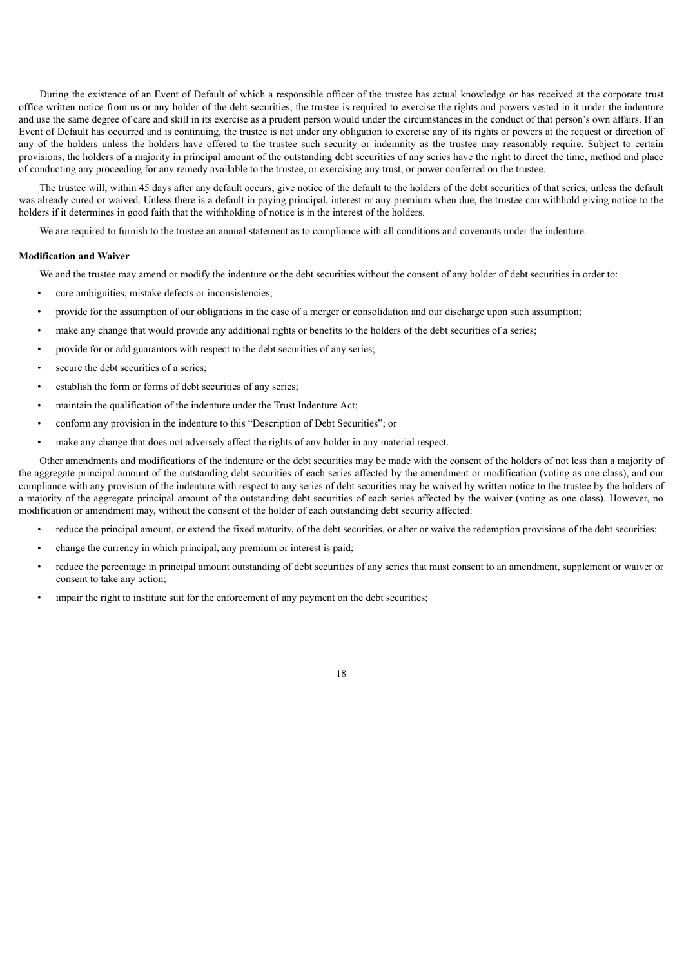During the existence of an Event of Default of which a responsible officer of the trustee has actual knowledge or has received at the corporate trust office written notice from us or any holder of the debt securities, the trustee is required to exercise the rights and powers vested in it under the indenture and use the same degree of care and skill in its exercise as a prudent person would under the circumstances in the conduct of that person's own affairs. If an Event of Default has occurred and is continuing, the trustee is not under any obligation to exercise any of its rights or powers at the request or direction of any of the holders unless the holders have offered to the trustee such security or indemnity as the trustee may reasonably require. Subject to certain provisions, the holders of a majority in principal amount of the outstanding debt securities of any series have the right to direct the time, method and place of conducting any proceeding for any remedy available to the trustee, or exercising any trust, or power conferred on the trustee.

The trustee will, within 45 days after any default occurs, give notice of the default to the holders of the debt securities of that series, unless the default was already cured or waived. Unless there is a default in paying principal, interest or any premium when due, the trustee can withhold giving notice to the holders if it determines in good faith that the withholding of notice is in the interest of the holders.

We are required to furnish to the trustee an annual statement as to compliance with all conditions and covenants under the indenture.

#### **Modification and Waiver**

We and the trustee may amend or modify the indenture or the debt securities without the consent of any holder of debt securities in order to:

- cure ambiguities, mistake defects or inconsistencies;
- provide for the assumption of our obligations in the case of a merger or consolidation and our discharge upon such assumption;
- make any change that would provide any additional rights or benefits to the holders of the debt securities of a series;
- provide for or add guarantors with respect to the debt securities of any series;
- secure the debt securities of a series;
- establish the form or forms of debt securities of any series:
- maintain the qualification of the indenture under the Trust Indenture Act;
- conform any provision in the indenture to this "Description of Debt Securities"; or
- make any change that does not adversely affect the rights of any holder in any material respect.

Other amendments and modifications of the indenture or the debt securities may be made with the consent of the holders of not less than a majority of the aggregate principal amount of the outstanding debt securities of each series affected by the amendment or modification (voting as one class), and our compliance with any provision of the indenture with respect to any series of debt securities may be waived by written notice to the trustee by the holders of a majority of the aggregate principal amount of the outstanding debt securities of each series affected by the waiver (voting as one class). However, no modification or amendment may, without the consent of the holder of each outstanding debt security affected:

- reduce the principal amount, or extend the fixed maturity, of the debt securities, or alter or waive the redemption provisions of the debt securities;
- change the currency in which principal, any premium or interest is paid;
- reduce the percentage in principal amount outstanding of debt securities of any series that must consent to an amendment, supplement or waiver or consent to take any action;
- impair the right to institute suit for the enforcement of any payment on the debt securities;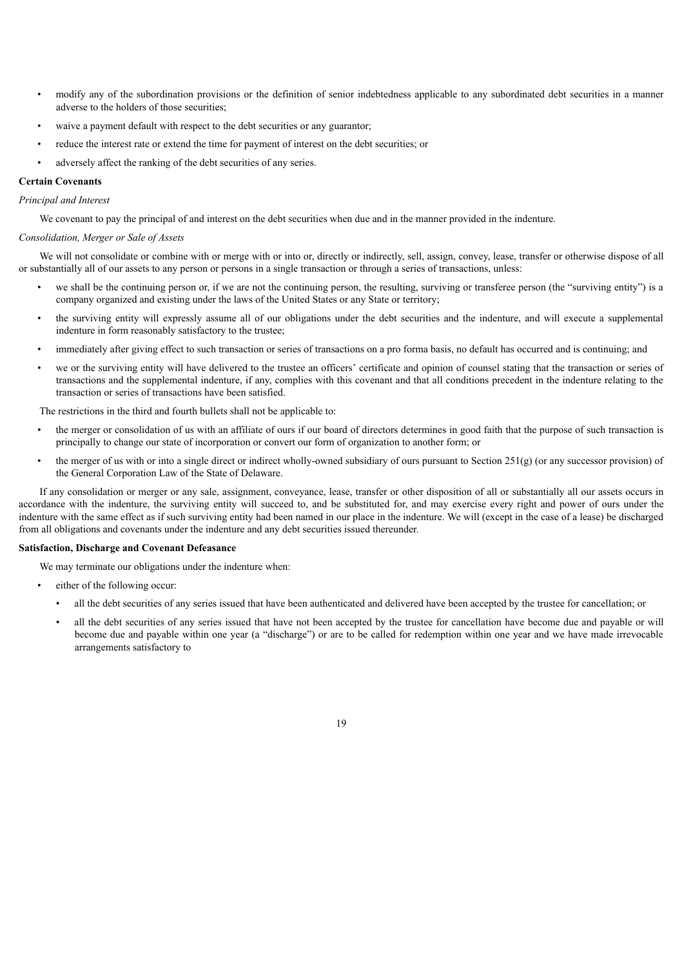- modify any of the subordination provisions or the definition of senior indebtedness applicable to any subordinated debt securities in a manner adverse to the holders of those securities;
- waive a payment default with respect to the debt securities or any guarantor;
- reduce the interest rate or extend the time for payment of interest on the debt securities; or
- adversely affect the ranking of the debt securities of any series.

## **Certain Covenants**

*Principal and Interest*

We covenant to pay the principal of and interest on the debt securities when due and in the manner provided in the indenture.

#### *Consolidation, Merger or Sale of Assets*

We will not consolidate or combine with or merge with or into or, directly or indirectly, sell, assign, convey, lease, transfer or otherwise dispose of all or substantially all of our assets to any person or persons in a single transaction or through a series of transactions, unless:

- we shall be the continuing person or, if we are not the continuing person, the resulting, surviving or transferee person (the "surviving entity") is a company organized and existing under the laws of the United States or any State or territory;
- the surviving entity will expressly assume all of our obligations under the debt securities and the indenture, and will execute a supplemental indenture in form reasonably satisfactory to the trustee;
- immediately after giving effect to such transaction or series of transactions on a pro forma basis, no default has occurred and is continuing; and
- we or the surviving entity will have delivered to the trustee an officers' certificate and opinion of counsel stating that the transaction or series of transactions and the supplemental indenture, if any, complies with this covenant and that all conditions precedent in the indenture relating to the transaction or series of transactions have been satisfied.

The restrictions in the third and fourth bullets shall not be applicable to:

- the merger or consolidation of us with an affiliate of ours if our board of directors determines in good faith that the purpose of such transaction is principally to change our state of incorporation or convert our form of organization to another form; or
- the merger of us with or into a single direct or indirect wholly-owned subsidiary of ours pursuant to Section 251(g) (or any successor provision) of the General Corporation Law of the State of Delaware.

If any consolidation or merger or any sale, assignment, conveyance, lease, transfer or other disposition of all or substantially all our assets occurs in accordance with the indenture, the surviving entity will succeed to, and be substituted for, and may exercise every right and power of ours under the indenture with the same effect as if such surviving entity had been named in our place in the indenture. We will (except in the case of a lease) be discharged from all obligations and covenants under the indenture and any debt securities issued thereunder.

## **Satisfaction, Discharge and Covenant Defeasance**

We may terminate our obligations under the indenture when:

- either of the following occur:
	- all the debt securities of any series issued that have been authenticated and delivered have been accepted by the trustee for cancellation; or
	- all the debt securities of any series issued that have not been accepted by the trustee for cancellation have become due and payable or will become due and payable within one year (a "discharge") or are to be called for redemption within one year and we have made irrevocable arrangements satisfactory to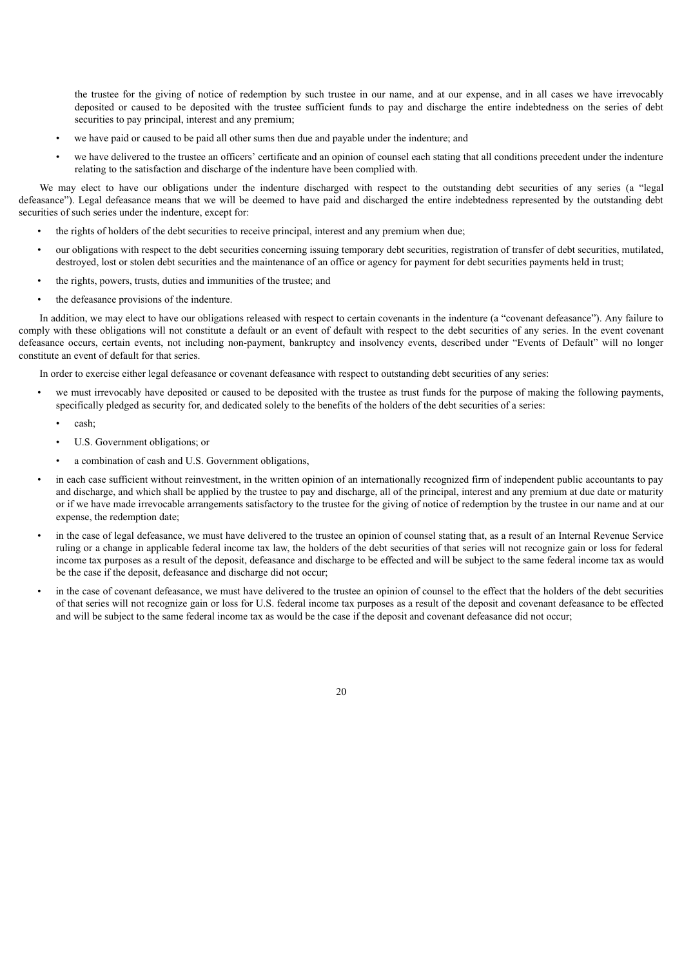the trustee for the giving of notice of redemption by such trustee in our name, and at our expense, and in all cases we have irrevocably deposited or caused to be deposited with the trustee sufficient funds to pay and discharge the entire indebtedness on the series of debt securities to pay principal, interest and any premium;

- we have paid or caused to be paid all other sums then due and payable under the indenture; and
- we have delivered to the trustee an officers' certificate and an opinion of counsel each stating that all conditions precedent under the indenture relating to the satisfaction and discharge of the indenture have been complied with.

We may elect to have our obligations under the indenture discharged with respect to the outstanding debt securities of any series (a "legal") defeasance"). Legal defeasance means that we will be deemed to have paid and discharged the entire indebtedness represented by the outstanding debt securities of such series under the indenture, except for:

- the rights of holders of the debt securities to receive principal, interest and any premium when due;
- our obligations with respect to the debt securities concerning issuing temporary debt securities, registration of transfer of debt securities, mutilated, destroyed, lost or stolen debt securities and the maintenance of an office or agency for payment for debt securities payments held in trust;
- the rights, powers, trusts, duties and immunities of the trustee; and
- the defeasance provisions of the indenture.

In addition, we may elect to have our obligations released with respect to certain covenants in the indenture (a "covenant defeasance"). Any failure to comply with these obligations will not constitute a default or an event of default with respect to the debt securities of any series. In the event covenant defeasance occurs, certain events, not including non-payment, bankruptcy and insolvency events, described under "Events of Default" will no longer constitute an event of default for that series.

In order to exercise either legal defeasance or covenant defeasance with respect to outstanding debt securities of any series:

- we must irrevocably have deposited or caused to be deposited with the trustee as trust funds for the purpose of making the following payments, specifically pledged as security for, and dedicated solely to the benefits of the holders of the debt securities of a series:
	- cash;
	- U.S. Government obligations; or
	- a combination of cash and U.S. Government obligations,
- in each case sufficient without reinvestment, in the written opinion of an internationally recognized firm of independent public accountants to pay and discharge, and which shall be applied by the trustee to pay and discharge, all of the principal, interest and any premium at due date or maturity or if we have made irrevocable arrangements satisfactory to the trustee for the giving of notice of redemption by the trustee in our name and at our expense, the redemption date;
- in the case of legal defeasance, we must have delivered to the trustee an opinion of counsel stating that, as a result of an Internal Revenue Service ruling or a change in applicable federal income tax law, the holders of the debt securities of that series will not recognize gain or loss for federal income tax purposes as a result of the deposit, defeasance and discharge to be effected and will be subject to the same federal income tax as would be the case if the deposit, defeasance and discharge did not occur;
- in the case of covenant defeasance, we must have delivered to the trustee an opinion of counsel to the effect that the holders of the debt securities of that series will not recognize gain or loss for U.S. federal income tax purposes as a result of the deposit and covenant defeasance to be effected and will be subject to the same federal income tax as would be the case if the deposit and covenant defeasance did not occur;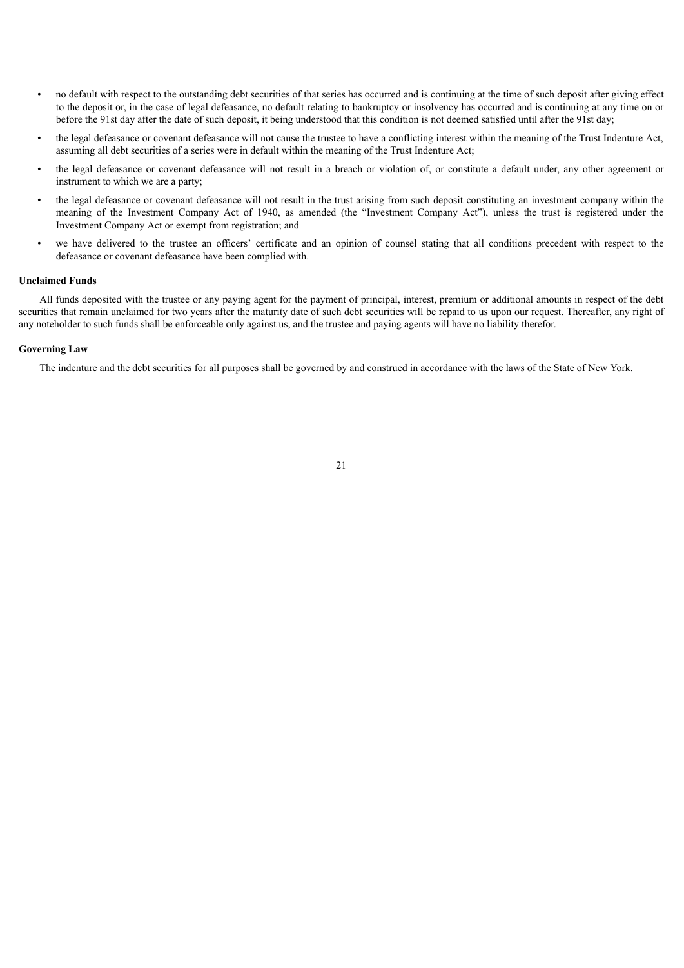- no default with respect to the outstanding debt securities of that series has occurred and is continuing at the time of such deposit after giving effect to the deposit or, in the case of legal defeasance, no default relating to bankruptcy or insolvency has occurred and is continuing at any time on or before the 91st day after the date of such deposit, it being understood that this condition is not deemed satisfied until after the 91st day;
- the legal defeasance or covenant defeasance will not cause the trustee to have a conflicting interest within the meaning of the Trust Indenture Act, assuming all debt securities of a series were in default within the meaning of the Trust Indenture Act;
- the legal defeasance or covenant defeasance will not result in a breach or violation of, or constitute a default under, any other agreement or instrument to which we are a party;
- the legal defeasance or covenant defeasance will not result in the trust arising from such deposit constituting an investment company within the meaning of the Investment Company Act of 1940, as amended (the "Investment Company Act"), unless the trust is registered under the Investment Company Act or exempt from registration; and
- we have delivered to the trustee an officers' certificate and an opinion of counsel stating that all conditions precedent with respect to the defeasance or covenant defeasance have been complied with.

#### **Unclaimed Funds**

All funds deposited with the trustee or any paying agent for the payment of principal, interest, premium or additional amounts in respect of the debt securities that remain unclaimed for two years after the maturity date of such debt securities will be repaid to us upon our request. Thereafter, any right of any noteholder to such funds shall be enforceable only against us, and the trustee and paying agents will have no liability therefor.

## **Governing Law**

The indenture and the debt securities for all purposes shall be governed by and construed in accordance with the laws of the State of New York.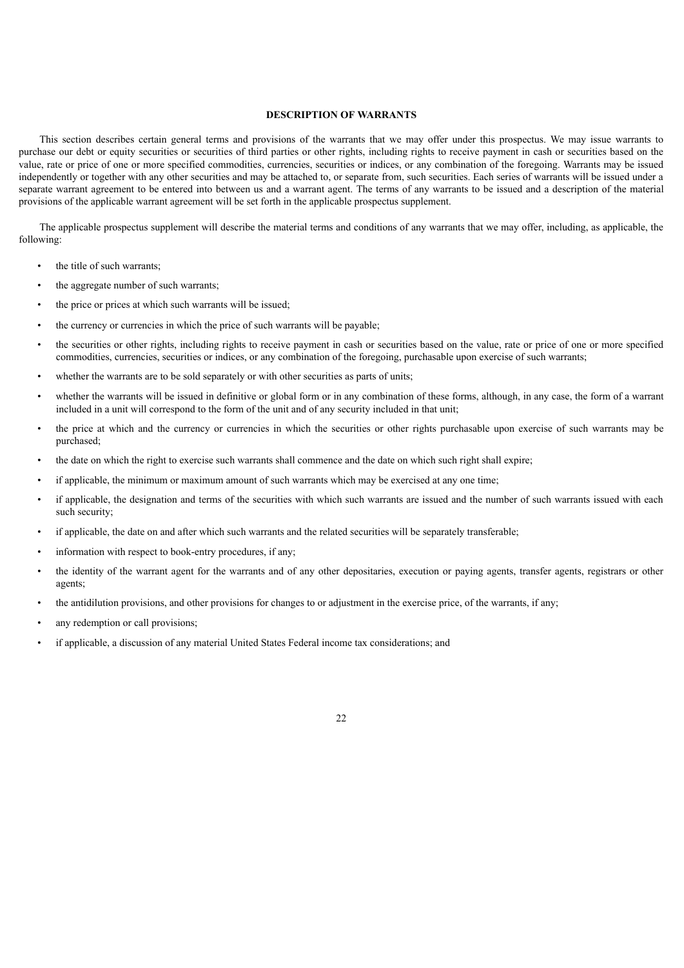## **DESCRIPTION OF WARRANTS**

<span id="page-24-0"></span>This section describes certain general terms and provisions of the warrants that we may offer under this prospectus. We may issue warrants to purchase our debt or equity securities or securities of third parties or other rights, including rights to receive payment in cash or securities based on the value, rate or price of one or more specified commodities, currencies, securities or indices, or any combination of the foregoing. Warrants may be issued independently or together with any other securities and may be attached to, or separate from, such securities. Each series of warrants will be issued under a separate warrant agreement to be entered into between us and a warrant agent. The terms of any warrants to be issued and a description of the material provisions of the applicable warrant agreement will be set forth in the applicable prospectus supplement.

The applicable prospectus supplement will describe the material terms and conditions of any warrants that we may offer, including, as applicable, the following:

- the title of such warrants;
- the aggregate number of such warrants;
- the price or prices at which such warrants will be issued;
- the currency or currencies in which the price of such warrants will be payable;
- the securities or other rights, including rights to receive payment in cash or securities based on the value, rate or price of one or more specified commodities, currencies, securities or indices, or any combination of the foregoing, purchasable upon exercise of such warrants;
- whether the warrants are to be sold separately or with other securities as parts of units;
- whether the warrants will be issued in definitive or global form or in any combination of these forms, although, in any case, the form of a warrant included in a unit will correspond to the form of the unit and of any security included in that unit;
- the price at which and the currency or currencies in which the securities or other rights purchasable upon exercise of such warrants may be purchased;
- the date on which the right to exercise such warrants shall commence and the date on which such right shall expire;
- if applicable, the minimum or maximum amount of such warrants which may be exercised at any one time;
- if applicable, the designation and terms of the securities with which such warrants are issued and the number of such warrants issued with each such security;
- if applicable, the date on and after which such warrants and the related securities will be separately transferable;
- information with respect to book-entry procedures, if any;
- the identity of the warrant agent for the warrants and of any other depositaries, execution or paying agents, transfer agents, registrars or other agents;
- the antidilution provisions, and other provisions for changes to or adjustment in the exercise price, of the warrants, if any;
- any redemption or call provisions;
- if applicable, a discussion of any material United States Federal income tax considerations; and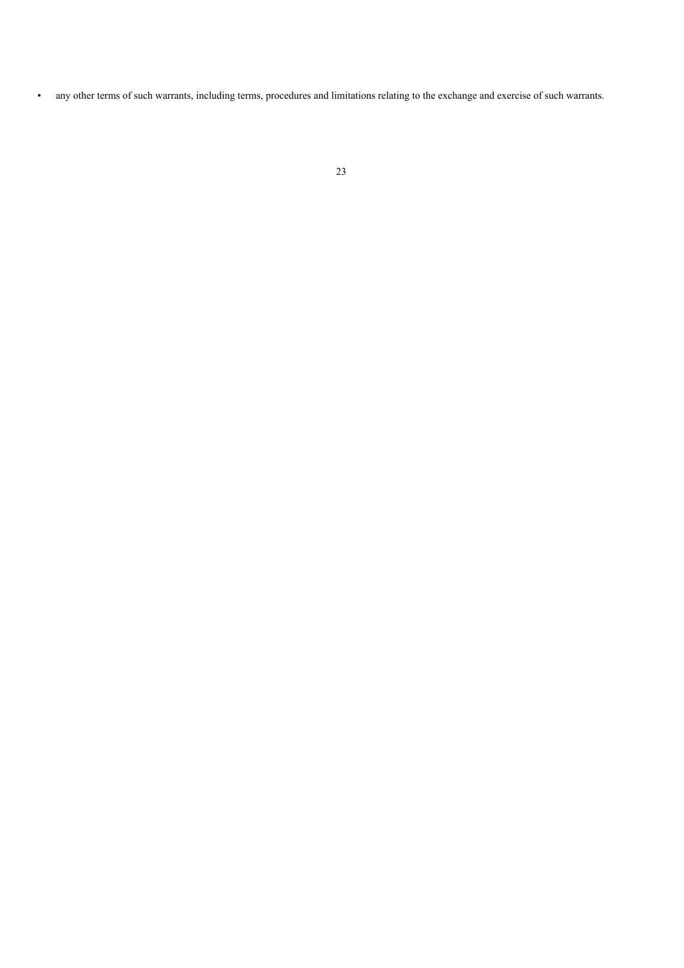• any other terms of such warrants, including terms, procedures and limitations relating to the exchange and exercise of such warrants.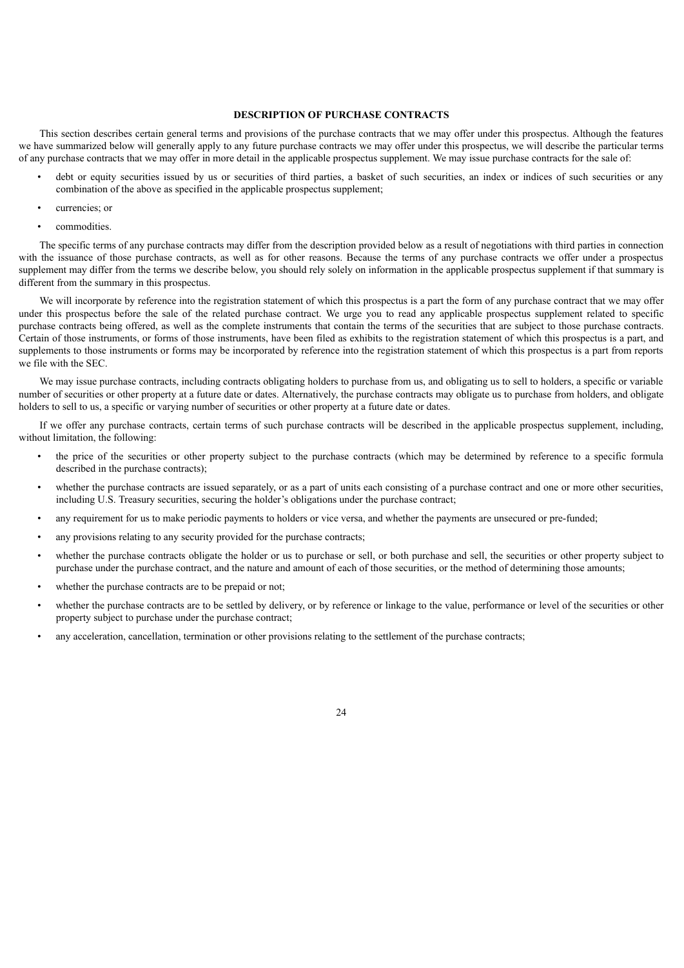## **DESCRIPTION OF PURCHASE CONTRACTS**

<span id="page-26-0"></span>This section describes certain general terms and provisions of the purchase contracts that we may offer under this prospectus. Although the features we have summarized below will generally apply to any future purchase contracts we may offer under this prospectus, we will describe the particular terms of any purchase contracts that we may offer in more detail in the applicable prospectus supplement. We may issue purchase contracts for the sale of:

- debt or equity securities issued by us or securities of third parties, a basket of such securities, an index or indices of such securities or any combination of the above as specified in the applicable prospectus supplement;
- currencies; or
- commodities.

The specific terms of any purchase contracts may differ from the description provided below as a result of negotiations with third parties in connection with the issuance of those purchase contracts, as well as for other reasons. Because the terms of any purchase contracts we offer under a prospectus supplement may differ from the terms we describe below, you should rely solely on information in the applicable prospectus supplement if that summary is different from the summary in this prospectus.

We will incorporate by reference into the registration statement of which this prospectus is a part the form of any purchase contract that we may offer under this prospectus before the sale of the related purchase contract. We urge you to read any applicable prospectus supplement related to specific purchase contracts being offered, as well as the complete instruments that contain the terms of the securities that are subject to those purchase contracts. Certain of those instruments, or forms of those instruments, have been filed as exhibits to the registration statement of which this prospectus is a part, and supplements to those instruments or forms may be incorporated by reference into the registration statement of which this prospectus is a part from reports we file with the SEC.

We may issue purchase contracts, including contracts obligating holders to purchase from us, and obligating us to sell to holders, a specific or variable number of securities or other property at a future date or dates. Alternatively, the purchase contracts may obligate us to purchase from holders, and obligate holders to sell to us, a specific or varying number of securities or other property at a future date or dates.

If we offer any purchase contracts, certain terms of such purchase contracts will be described in the applicable prospectus supplement, including, without limitation, the following:

- the price of the securities or other property subject to the purchase contracts (which may be determined by reference to a specific formula described in the purchase contracts);
- whether the purchase contracts are issued separately, or as a part of units each consisting of a purchase contract and one or more other securities, including U.S. Treasury securities, securing the holder's obligations under the purchase contract;
- any requirement for us to make periodic payments to holders or vice versa, and whether the payments are unsecured or pre-funded;
- any provisions relating to any security provided for the purchase contracts;
- whether the purchase contracts obligate the holder or us to purchase or sell, or both purchase and sell, the securities or other property subject to purchase under the purchase contract, and the nature and amount of each of those securities, or the method of determining those amounts;
- whether the purchase contracts are to be prepaid or not;
- whether the purchase contracts are to be settled by delivery, or by reference or linkage to the value, performance or level of the securities or other property subject to purchase under the purchase contract;
- any acceleration, cancellation, termination or other provisions relating to the settlement of the purchase contracts;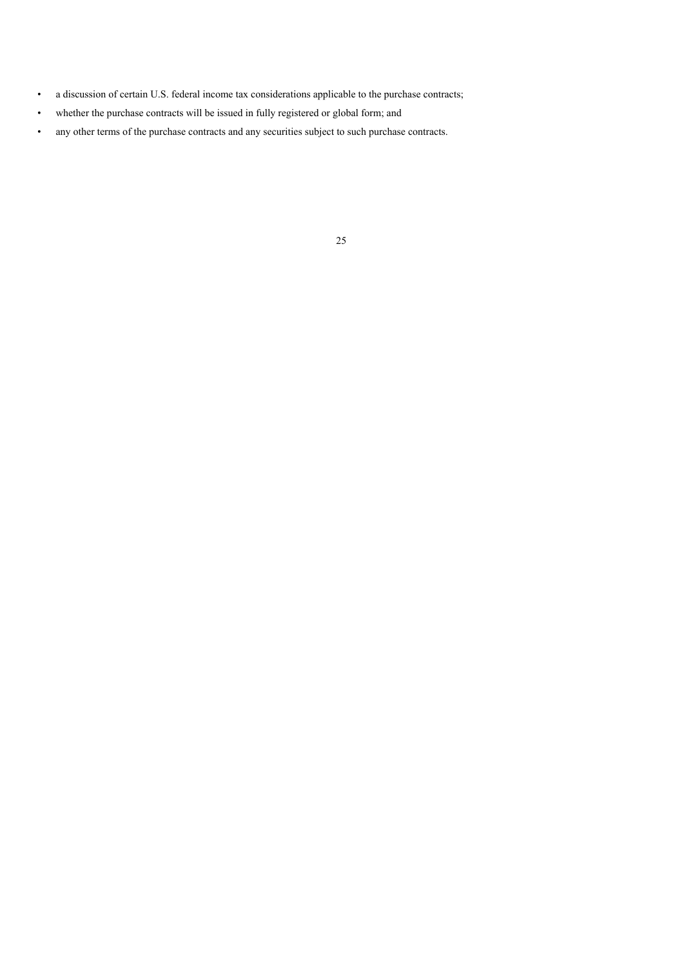- a discussion of certain U.S. federal income tax considerations applicable to the purchase contracts;
- whether the purchase contracts will be issued in fully registered or global form; and
- any other terms of the purchase contracts and any securities subject to such purchase contracts.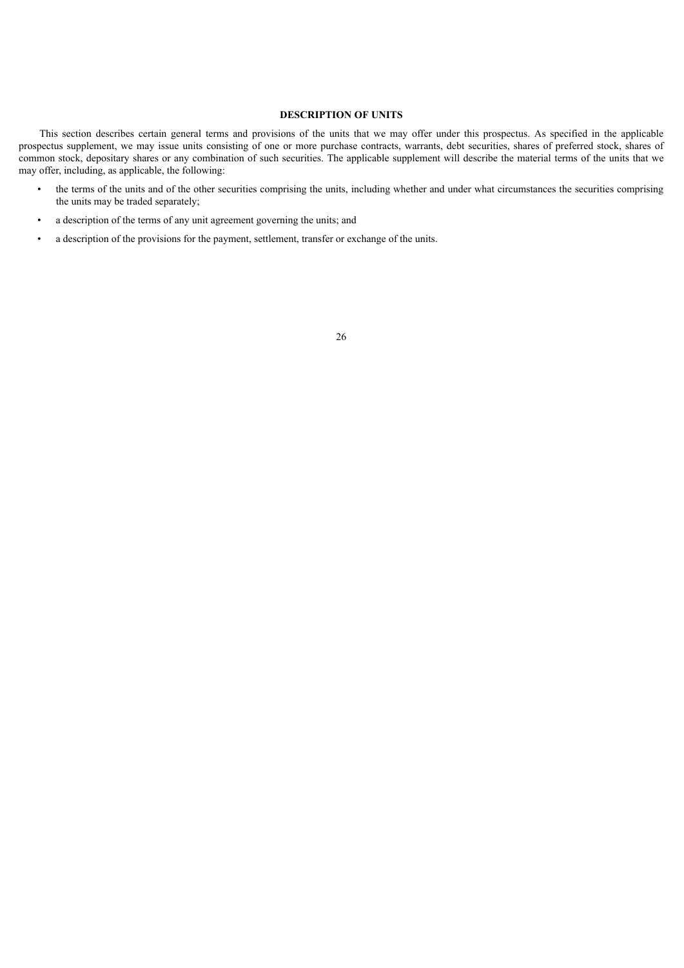## **DESCRIPTION OF UNITS**

<span id="page-28-0"></span>This section describes certain general terms and provisions of the units that we may offer under this prospectus. As specified in the applicable prospectus supplement, we may issue units consisting of one or more purchase contracts, warrants, debt securities, shares of preferred stock, shares of common stock, depositary shares or any combination of such securities. The applicable supplement will describe the material terms of the units that we may offer, including, as applicable, the following:

- the terms of the units and of the other securities comprising the units, including whether and under what circumstances the securities comprising the units may be traded separately;
- a description of the terms of any unit agreement governing the units; and
- a description of the provisions for the payment, settlement, transfer or exchange of the units.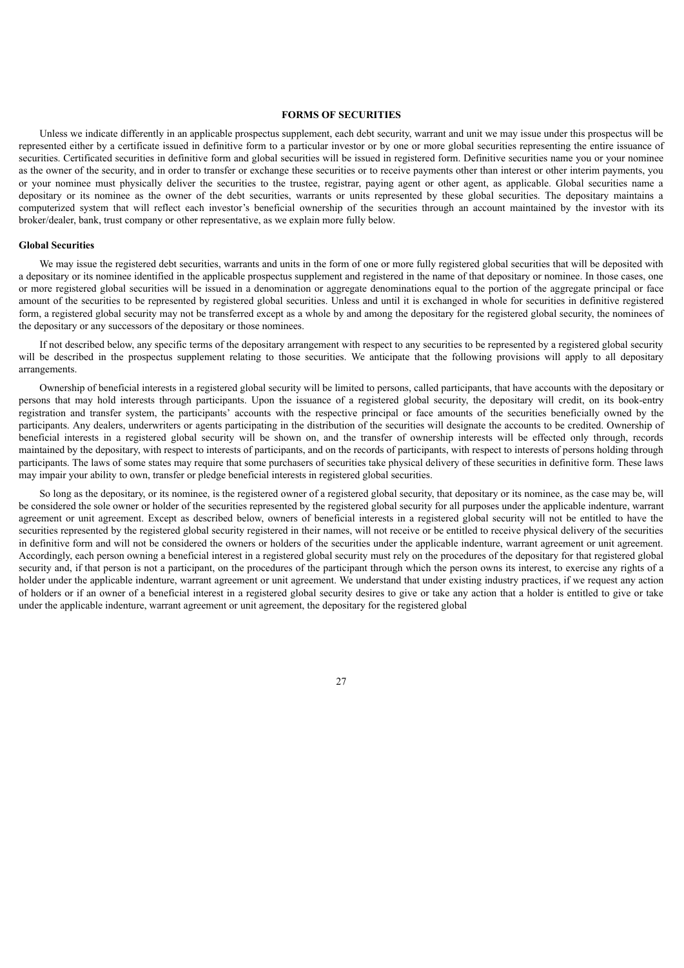## **FORMS OF SECURITIES**

<span id="page-29-0"></span>Unless we indicate differently in an applicable prospectus supplement, each debt security, warrant and unit we may issue under this prospectus will be represented either by a certificate issued in definitive form to a particular investor or by one or more global securities representing the entire issuance of securities. Certificated securities in definitive form and global securities will be issued in registered form. Definitive securities name you or your nominee as the owner of the security, and in order to transfer or exchange these securities or to receive payments other than interest or other interim payments, you or your nominee must physically deliver the securities to the trustee, registrar, paying agent or other agent, as applicable. Global securities name a depositary or its nominee as the owner of the debt securities, warrants or units represented by these global securities. The depositary maintains a computerized system that will reflect each investor's beneficial ownership of the securities through an account maintained by the investor with its broker/dealer, bank, trust company or other representative, as we explain more fully below.

#### **Global Securities**

We may issue the registered debt securities, warrants and units in the form of one or more fully registered global securities that will be deposited with a depositary or its nominee identified in the applicable prospectus supplement and registered in the name of that depositary or nominee. In those cases, one or more registered global securities will be issued in a denomination or aggregate denominations equal to the portion of the aggregate principal or face amount of the securities to be represented by registered global securities. Unless and until it is exchanged in whole for securities in definitive registered form, a registered global security may not be transferred except as a whole by and among the depositary for the registered global security, the nominees of the depositary or any successors of the depositary or those nominees.

If not described below, any specific terms of the depositary arrangement with respect to any securities to be represented by a registered global security will be described in the prospectus supplement relating to those securities. We anticipate that the following provisions will apply to all depositary arrangements.

Ownership of beneficial interests in a registered global security will be limited to persons, called participants, that have accounts with the depositary or persons that may hold interests through participants. Upon the issuance of a registered global security, the depositary will credit, on its book-entry registration and transfer system, the participants' accounts with the respective principal or face amounts of the securities beneficially owned by the participants. Any dealers, underwriters or agents participating in the distribution of the securities will designate the accounts to be credited. Ownership of beneficial interests in a registered global security will be shown on, and the transfer of ownership interests will be effected only through, records maintained by the depositary, with respect to interests of participants, and on the records of participants, with respect to interests of persons holding through participants. The laws of some states may require that some purchasers of securities take physical delivery of these securities in definitive form. These laws may impair your ability to own, transfer or pledge beneficial interests in registered global securities.

So long as the depositary, or its nominee, is the registered owner of a registered global security, that depositary or its nominee, as the case may be, will be considered the sole owner or holder of the securities represented by the registered global security for all purposes under the applicable indenture, warrant agreement or unit agreement. Except as described below, owners of beneficial interests in a registered global security will not be entitled to have the securities represented by the registered global security registered in their names, will not receive or be entitled to receive physical delivery of the securities in definitive form and will not be considered the owners or holders of the securities under the applicable indenture, warrant agreement or unit agreement. Accordingly, each person owning a beneficial interest in a registered global security must rely on the procedures of the depositary for that registered global security and, if that person is not a participant, on the procedures of the participant through which the person owns its interest, to exercise any rights of a holder under the applicable indenture, warrant agreement or unit agreement. We understand that under existing industry practices, if we request any action of holders or if an owner of a beneficial interest in a registered global security desires to give or take any action that a holder is entitled to give or take under the applicable indenture, warrant agreement or unit agreement, the depositary for the registered global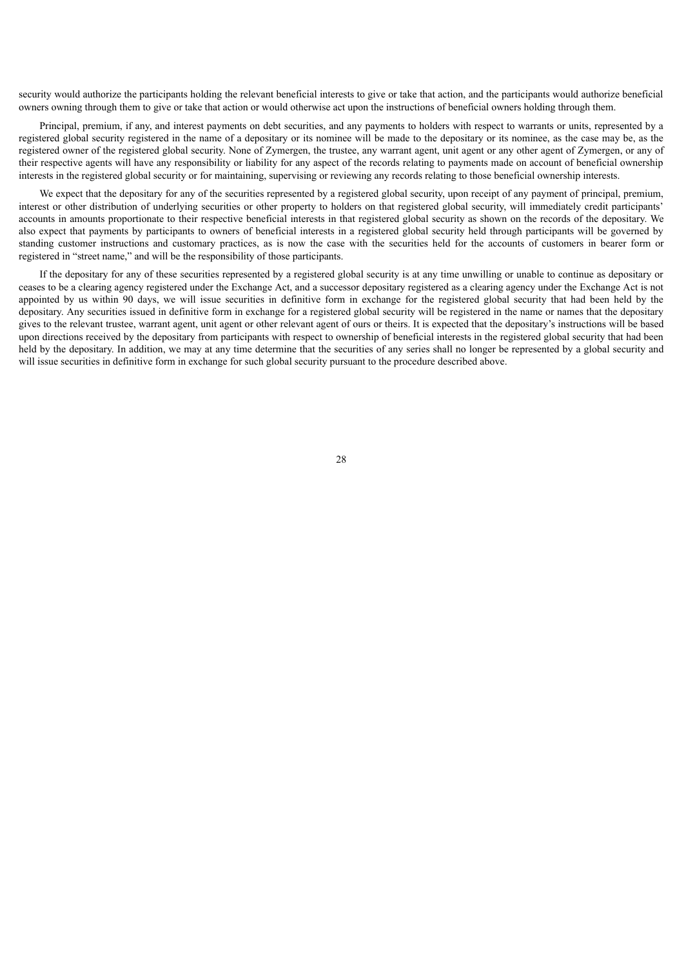security would authorize the participants holding the relevant beneficial interests to give or take that action, and the participants would authorize beneficial owners owning through them to give or take that action or would otherwise act upon the instructions of beneficial owners holding through them.

Principal, premium, if any, and interest payments on debt securities, and any payments to holders with respect to warrants or units, represented by a registered global security registered in the name of a depositary or its nominee will be made to the depositary or its nominee, as the case may be, as the registered owner of the registered global security. None of Zymergen, the trustee, any warrant agent, unit agent or any other agent of Zymergen, or any of their respective agents will have any responsibility or liability for any aspect of the records relating to payments made on account of beneficial ownership interests in the registered global security or for maintaining, supervising or reviewing any records relating to those beneficial ownership interests.

We expect that the depositary for any of the securities represented by a registered global security, upon receipt of any payment of principal, premium, interest or other distribution of underlying securities or other property to holders on that registered global security, will immediately credit participants' accounts in amounts proportionate to their respective beneficial interests in that registered global security as shown on the records of the depositary. We also expect that payments by participants to owners of beneficial interests in a registered global security held through participants will be governed by standing customer instructions and customary practices, as is now the case with the securities held for the accounts of customers in bearer form or registered in "street name," and will be the responsibility of those participants.

If the depositary for any of these securities represented by a registered global security is at any time unwilling or unable to continue as depositary or ceases to be a clearing agency registered under the Exchange Act, and a successor depositary registered as a clearing agency under the Exchange Act is not appointed by us within 90 days, we will issue securities in definitive form in exchange for the registered global security that had been held by the depositary. Any securities issued in definitive form in exchange for a registered global security will be registered in the name or names that the depositary gives to the relevant trustee, warrant agent, unit agent or other relevant agent of ours or theirs. It is expected that the depositary's instructions will be based upon directions received by the depositary from participants with respect to ownership of beneficial interests in the registered global security that had been held by the depositary. In addition, we may at any time determine that the securities of any series shall no longer be represented by a global security and will issue securities in definitive form in exchange for such global security pursuant to the procedure described above.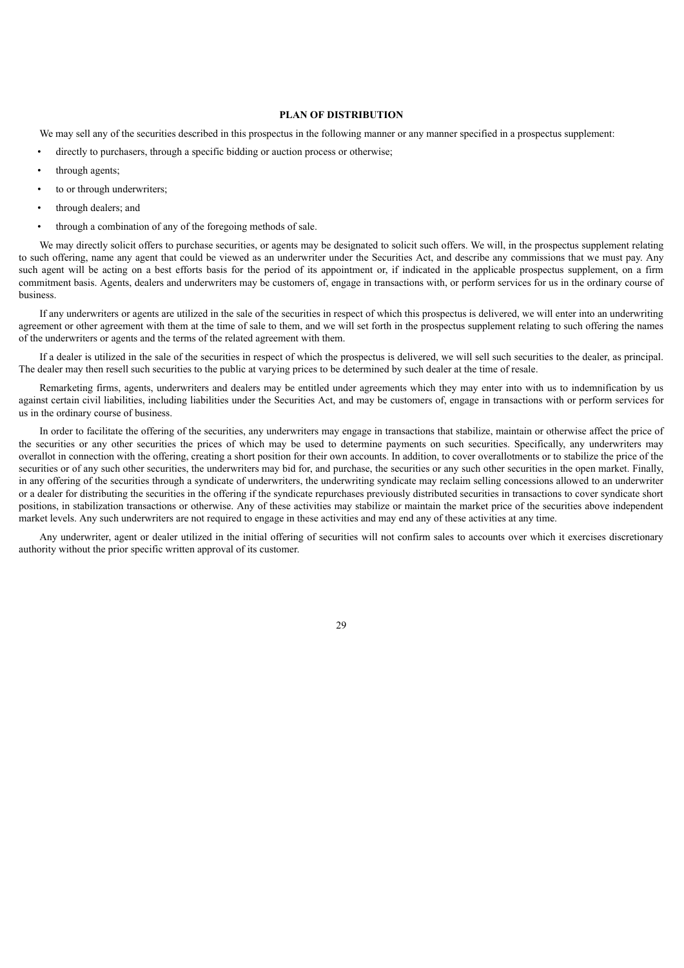## **PLAN OF DISTRIBUTION**

<span id="page-31-0"></span>We may sell any of the securities described in this prospectus in the following manner or any manner specified in a prospectus supplement:

- directly to purchasers, through a specific bidding or auction process or otherwise;
- through agents;
- to or through underwriters;
- through dealers; and
- through a combination of any of the foregoing methods of sale.

We may directly solicit offers to purchase securities, or agents may be designated to solicit such offers. We will, in the prospectus supplement relating to such offering, name any agent that could be viewed as an underwriter under the Securities Act, and describe any commissions that we must pay. Any such agent will be acting on a best efforts basis for the period of its appointment or, if indicated in the applicable prospectus supplement, on a firm commitment basis. Agents, dealers and underwriters may be customers of, engage in transactions with, or perform services for us in the ordinary course of business.

If any underwriters or agents are utilized in the sale of the securities in respect of which this prospectus is delivered, we will enter into an underwriting agreement or other agreement with them at the time of sale to them, and we will set forth in the prospectus supplement relating to such offering the names of the underwriters or agents and the terms of the related agreement with them.

If a dealer is utilized in the sale of the securities in respect of which the prospectus is delivered, we will sell such securities to the dealer, as principal. The dealer may then resell such securities to the public at varying prices to be determined by such dealer at the time of resale.

Remarketing firms, agents, underwriters and dealers may be entitled under agreements which they may enter into with us to indemnification by us against certain civil liabilities, including liabilities under the Securities Act, and may be customers of, engage in transactions with or perform services for us in the ordinary course of business.

In order to facilitate the offering of the securities, any underwriters may engage in transactions that stabilize, maintain or otherwise affect the price of the securities or any other securities the prices of which may be used to determine payments on such securities. Specifically, any underwriters may overallot in connection with the offering, creating a short position for their own accounts. In addition, to cover overallotments or to stabilize the price of the securities or of any such other securities, the underwriters may bid for, and purchase, the securities or any such other securities in the open market. Finally, in any offering of the securities through a syndicate of underwriters, the underwriting syndicate may reclaim selling concessions allowed to an underwriter or a dealer for distributing the securities in the offering if the syndicate repurchases previously distributed securities in transactions to cover syndicate short positions, in stabilization transactions or otherwise. Any of these activities may stabilize or maintain the market price of the securities above independent market levels. Any such underwriters are not required to engage in these activities and may end any of these activities at any time.

Any underwriter, agent or dealer utilized in the initial offering of securities will not confirm sales to accounts over which it exercises discretionary authority without the prior specific written approval of its customer.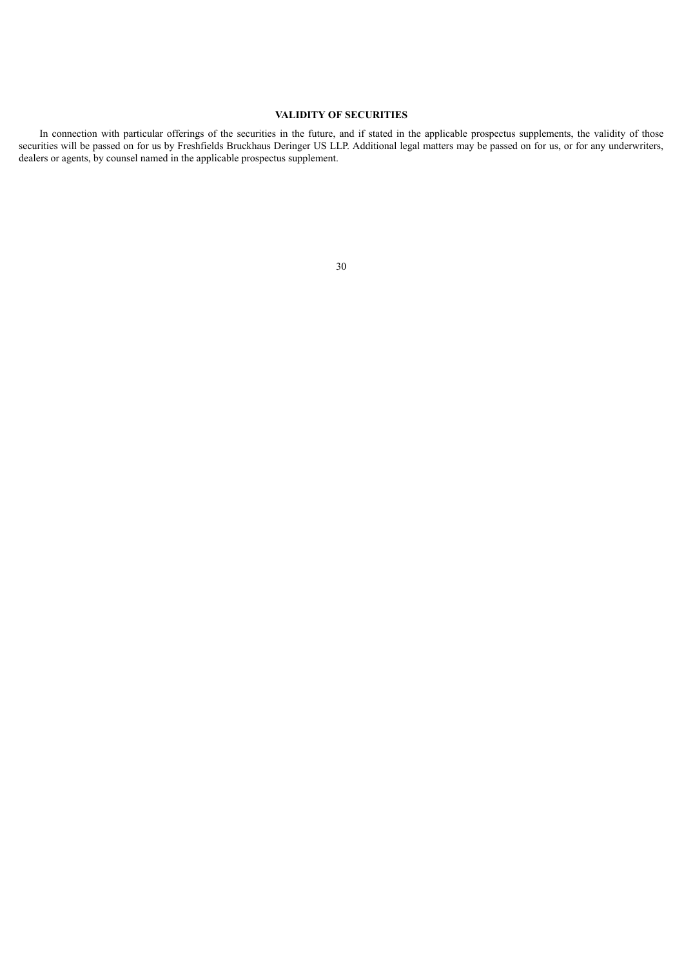## **VALIDITY OF SECURITIES**

<span id="page-32-0"></span>In connection with particular offerings of the securities in the future, and if stated in the applicable prospectus supplements, the validity of those securities will be passed on for us by Freshfields Bruckhaus Deringer US LLP. Additional legal matters may be passed on for us, or for any underwriters, dealers or agents, by counsel named in the applicable prospectus supplement.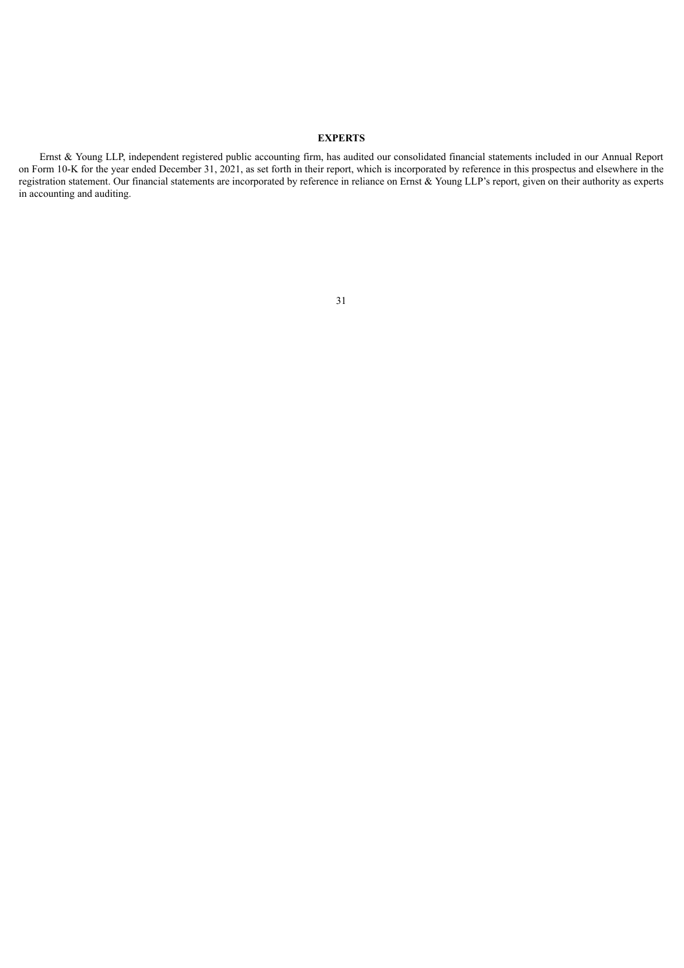## **EXPERTS**

<span id="page-33-0"></span>Ernst & Young LLP, independent registered public accounting firm, has audited our consolidated financial statements included in our Annual Report on Form 10-K for the year ended December 31, 2021, as set forth in their report, which is incorporated by reference in this prospectus and elsewhere in the registration statement. Our financial statements are incorporated by reference in reliance on Ernst & Young LLP's report, given on their authority as experts in accounting and auditing.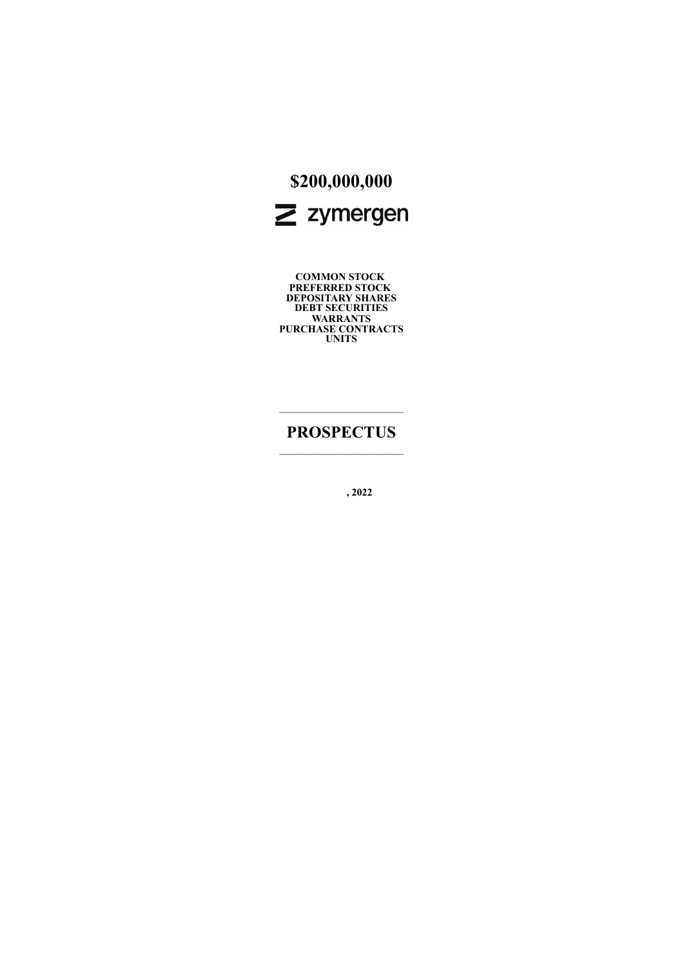

**COMMON STOCK PREFERRED STOCK DEPOSITARY SHARES DEBT SECURITIES WARRANTS PURCHASE CONTRACTS UNITS**

## **PROSPECTUS**  $\_$

**, 2022**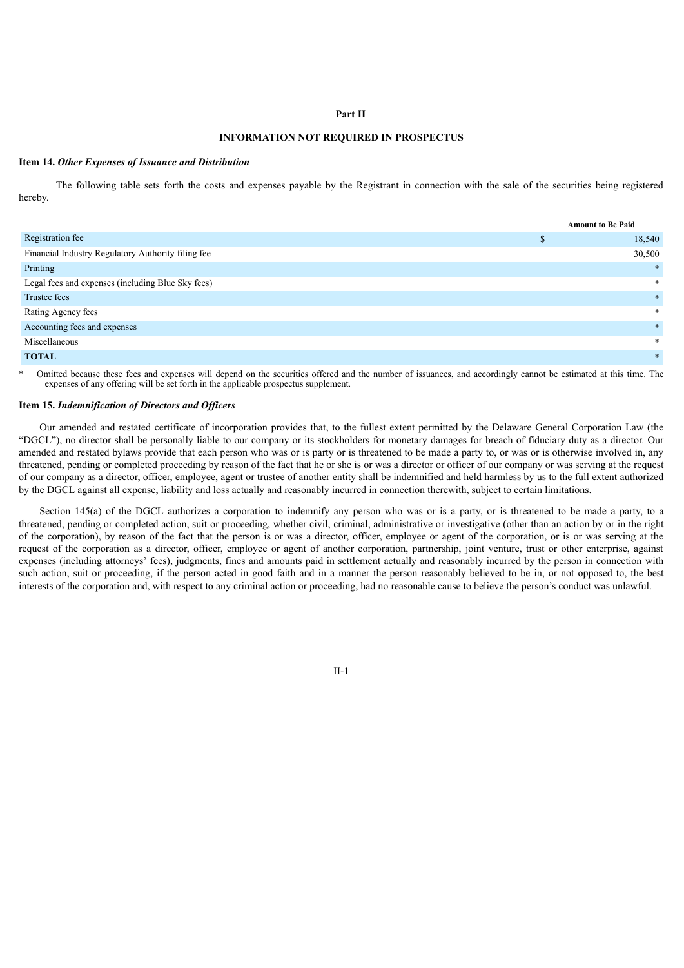#### **Part II**

## **INFORMATION NOT REQUIRED IN PROSPECTUS**

#### **Item 14.** *Other Expenses of Issuance and Distribution*

The following table sets forth the costs and expenses payable by the Registrant in connection with the sale of the securities being registered hereby.

|                                                    |  | <b>Amount to Be Paid</b> |
|----------------------------------------------------|--|--------------------------|
| Registration fee                                   |  | 18,540                   |
| Financial Industry Regulatory Authority filing fee |  | 30,500                   |
| Printing                                           |  | $\ast$                   |
| Legal fees and expenses (including Blue Sky fees)  |  | $\ast$                   |
| Trustee fees                                       |  | $\ast$                   |
| Rating Agency fees                                 |  | $\ast$                   |
| Accounting fees and expenses                       |  | $\ast$                   |
| Miscellaneous                                      |  | *                        |
| <b>TOTAL</b>                                       |  | $\ast$                   |

Omitted because these fees and expenses will depend on the securities offered and the number of issuances, and accordingly cannot be estimated at this time. The expenses of any offering will be set forth in the applicable prospectus supplement.

#### **Item 15.** *Indemnification of Directors and Of icers*

Our amended and restated certificate of incorporation provides that, to the fullest extent permitted by the Delaware General Corporation Law (the "DGCL"), no director shall be personally liable to our company or its stockholders for monetary damages for breach of fiduciary duty as a director. Our amended and restated bylaws provide that each person who was or is party or is threatened to be made a party to, or was or is otherwise involved in, any threatened, pending or completed proceeding by reason of the fact that he or she is or was a director or officer of our company or was serving at the request of our company as a director, officer, employee, agent or trustee of another entity shall be indemnified and held harmless by us to the full extent authorized by the DGCL against all expense, liability and loss actually and reasonably incurred in connection therewith, subject to certain limitations.

Section 145(a) of the DGCL authorizes a corporation to indemnify any person who was or is a party, or is threatened to be made a party, to a threatened, pending or completed action, suit or proceeding, whether civil, criminal, administrative or investigative (other than an action by or in the right of the corporation), by reason of the fact that the person is or was a director, officer, employee or agent of the corporation, or is or was serving at the request of the corporation as a director, officer, employee or agent of another corporation, partnership, joint venture, trust or other enterprise, against expenses (including attorneys' fees), judgments, fines and amounts paid in settlement actually and reasonably incurred by the person in connection with such action, suit or proceeding, if the person acted in good faith and in a manner the person reasonably believed to be in, or not opposed to, the best interests of the corporation and, with respect to any criminal action or proceeding, had no reasonable cause to believe the person's conduct was unlawful.

II-1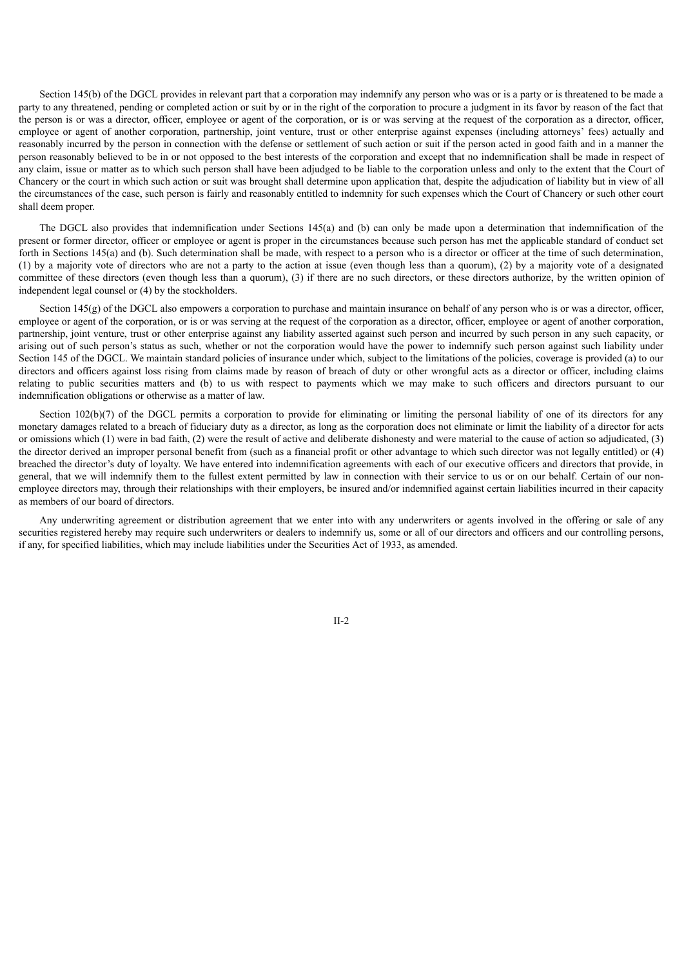Section 145(b) of the DGCL provides in relevant part that a corporation may indemnify any person who was or is a party or is threatened to be made a party to any threatened, pending or completed action or suit by or in the right of the corporation to procure a judgment in its favor by reason of the fact that the person is or was a director, officer, employee or agent of the corporation, or is or was serving at the request of the corporation as a director, officer, employee or agent of another corporation, partnership, joint venture, trust or other enterprise against expenses (including attorneys' fees) actually and reasonably incurred by the person in connection with the defense or settlement of such action or suit if the person acted in good faith and in a manner the person reasonably believed to be in or not opposed to the best interests of the corporation and except that no indemnification shall be made in respect of any claim, issue or matter as to which such person shall have been adjudged to be liable to the corporation unless and only to the extent that the Court of Chancery or the court in which such action or suit was brought shall determine upon application that, despite the adjudication of liability but in view of all the circumstances of the case, such person is fairly and reasonably entitled to indemnity for such expenses which the Court of Chancery or such other court shall deem proper.

The DGCL also provides that indemnification under Sections 145(a) and (b) can only be made upon a determination that indemnification of the present or former director, officer or employee or agent is proper in the circumstances because such person has met the applicable standard of conduct set forth in Sections 145(a) and (b). Such determination shall be made, with respect to a person who is a director or officer at the time of such determination, (1) by a majority vote of directors who are not a party to the action at issue (even though less than a quorum), (2) by a majority vote of a designated committee of these directors (even though less than a quorum), (3) if there are no such directors, or these directors authorize, by the written opinion of independent legal counsel or (4) by the stockholders.

Section 145(g) of the DGCL also empowers a corporation to purchase and maintain insurance on behalf of any person who is or was a director, officer, employee or agent of the corporation, or is or was serving at the request of the corporation as a director, officer, employee or agent of another corporation, partnership, joint venture, trust or other enterprise against any liability asserted against such person and incurred by such person in any such capacity, or arising out of such person's status as such, whether or not the corporation would have the power to indemnify such person against such liability under Section 145 of the DGCL. We maintain standard policies of insurance under which, subject to the limitations of the policies, coverage is provided (a) to our directors and officers against loss rising from claims made by reason of breach of duty or other wrongful acts as a director or officer, including claims relating to public securities matters and (b) to us with respect to payments which we may make to such officers and directors pursuant to our indemnification obligations or otherwise as a matter of law.

Section 102(b)(7) of the DGCL permits a corporation to provide for eliminating or limiting the personal liability of one of its directors for any monetary damages related to a breach of fiduciary duty as a director, as long as the corporation does not eliminate or limit the liability of a director for acts or omissions which (1) were in bad faith, (2) were the result of active and deliberate dishonesty and were material to the cause of action so adjudicated, (3) the director derived an improper personal benefit from (such as a financial profit or other advantage to which such director was not legally entitled) or (4) breached the director's duty of loyalty. We have entered into indemnification agreements with each of our executive officers and directors that provide, in general, that we will indemnify them to the fullest extent permitted by law in connection with their service to us or on our behalf. Certain of our nonemployee directors may, through their relationships with their employers, be insured and/or indemnified against certain liabilities incurred in their capacity as members of our board of directors.

Any underwriting agreement or distribution agreement that we enter into with any underwriters or agents involved in the offering or sale of any securities registered hereby may require such underwriters or dealers to indemnify us, some or all of our directors and officers and our controlling persons, if any, for specified liabilities, which may include liabilities under the Securities Act of 1933, as amended.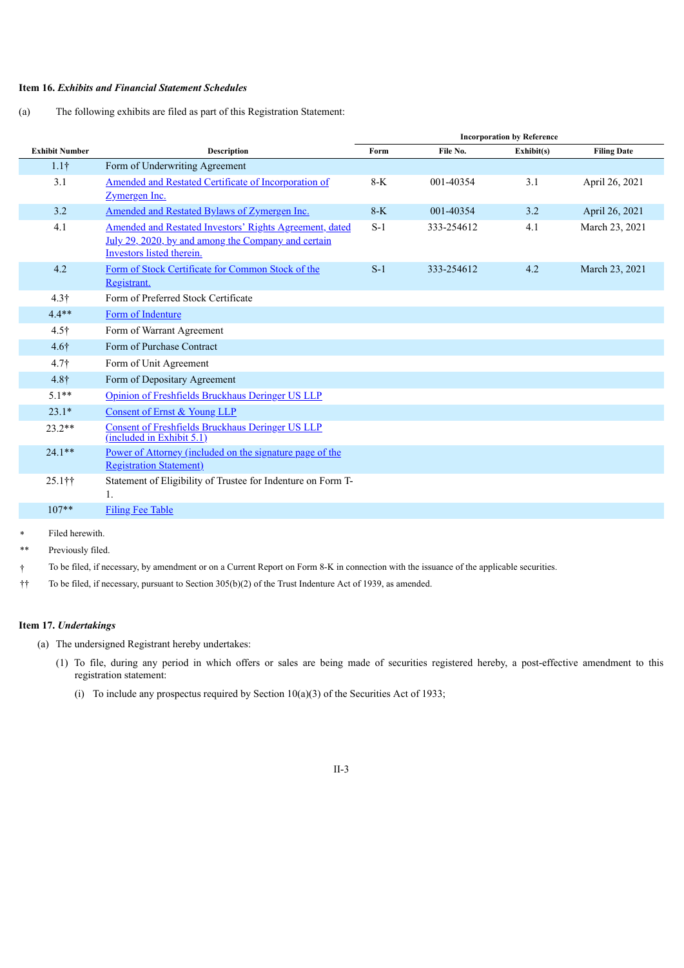## **Item 16.** *Exhibits and Financial Statement Schedules*

(a) The following exhibits are filed as part of this Registration Statement:

|                       |                                                                                                    | <b>Incorporation by Reference</b> |            |            |                    |
|-----------------------|----------------------------------------------------------------------------------------------------|-----------------------------------|------------|------------|--------------------|
| <b>Exhibit Number</b> | <b>Description</b>                                                                                 | Form                              | File No.   | Exhibit(s) | <b>Filing Date</b> |
| $1.1\dagger$          | Form of Underwriting Agreement                                                                     |                                   |            |            |                    |
| 3.1                   | Amended and Restated Certificate of Incorporation of                                               | $8-K$                             | 001-40354  | 3.1        | April 26, 2021     |
|                       | Zymergen Inc.                                                                                      |                                   |            |            |                    |
| 3.2                   | Amended and Restated Bylaws of Zymergen Inc.                                                       | $8-K$                             | 001-40354  | 3.2        | April 26, 2021     |
| 4.1                   | Amended and Restated Investors' Rights Agreement, dated                                            | $S-1$                             | 333-254612 | 4.1        | March 23, 2021     |
|                       | July 29, 2020, by and among the Company and certain<br>Investors listed therein.                   |                                   |            |            |                    |
| 4.2                   | Form of Stock Certificate for Common Stock of the                                                  | $S-1$                             | 333-254612 | 4.2        | March 23, 2021     |
|                       | Registrant.                                                                                        |                                   |            |            |                    |
| 4.3 <sup>†</sup>      | Form of Preferred Stock Certificate                                                                |                                   |            |            |                    |
| $4.4**$               | Form of Indenture                                                                                  |                                   |            |            |                    |
| $4.5\dagger$          | Form of Warrant Agreement                                                                          |                                   |            |            |                    |
| 4.6 <sup>†</sup>      | Form of Purchase Contract                                                                          |                                   |            |            |                    |
| $4.7\dagger$          | Form of Unit Agreement                                                                             |                                   |            |            |                    |
| $4.8\dagger$          | Form of Depositary Agreement                                                                       |                                   |            |            |                    |
| $5.1**$               | Opinion of Freshfields Bruckhaus Deringer US LLP                                                   |                                   |            |            |                    |
| $23.1*$               | Consent of Ernst & Young LLP                                                                       |                                   |            |            |                    |
| $23.2**$              | Consent of Freshfields Bruckhaus Deringer US LLP<br>(included in Exhibit 5.1)                      |                                   |            |            |                    |
| $24.1**$              | <u>Power of Attorney (included on the signature page of the</u><br><b>Registration Statement</b> ) |                                   |            |            |                    |
|                       |                                                                                                    |                                   |            |            |                    |
| 25.1††                | Statement of Eligibility of Trustee for Indenture on Form T-<br>1.                                 |                                   |            |            |                    |
| $107**$               | <b>Filing Fee Table</b>                                                                            |                                   |            |            |                    |

- Filed herewith.
- Previously filed.

† To be filed, if necessary, by amendment or on a Current Report on Form 8-K in connection with the issuance of the applicable securities.

†† To be filed, if necessary, pursuant to Section 305(b)(2) of the Trust Indenture Act of 1939, as amended.

## **Item 17.** *Undertakings*

- (a) The undersigned Registrant hereby undertakes:
	- (1) To file, during any period in which offers or sales are being made of securities registered hereby, a post-effective amendment to this registration statement:
		- (i) To include any prospectus required by Section  $10(a)(3)$  of the Securities Act of 1933;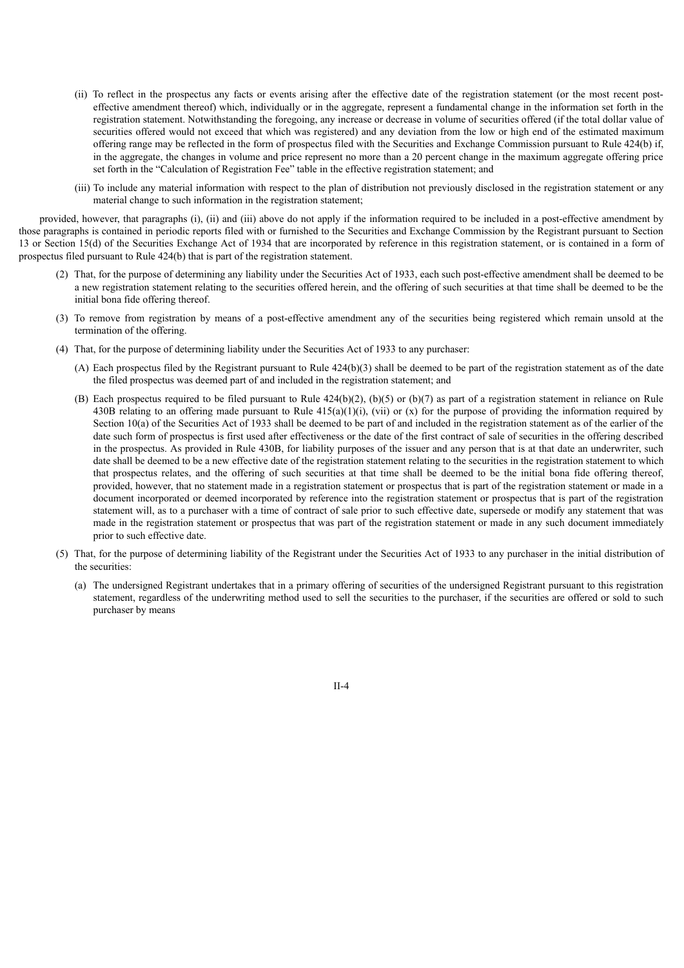- (ii) To reflect in the prospectus any facts or events arising after the effective date of the registration statement (or the most recent posteffective amendment thereof) which, individually or in the aggregate, represent a fundamental change in the information set forth in the registration statement. Notwithstanding the foregoing, any increase or decrease in volume of securities offered (if the total dollar value of securities offered would not exceed that which was registered) and any deviation from the low or high end of the estimated maximum offering range may be reflected in the form of prospectus filed with the Securities and Exchange Commission pursuant to Rule 424(b) if, in the aggregate, the changes in volume and price represent no more than a 20 percent change in the maximum aggregate offering price set forth in the "Calculation of Registration Fee" table in the effective registration statement; and
- (iii) To include any material information with respect to the plan of distribution not previously disclosed in the registration statement or any material change to such information in the registration statement;

provided, however, that paragraphs (i), (ii) and (iii) above do not apply if the information required to be included in a post-effective amendment by those paragraphs is contained in periodic reports filed with or furnished to the Securities and Exchange Commission by the Registrant pursuant to Section 13 or Section 15(d) of the Securities Exchange Act of 1934 that are incorporated by reference in this registration statement, or is contained in a form of prospectus filed pursuant to Rule 424(b) that is part of the registration statement.

- (2) That, for the purpose of determining any liability under the Securities Act of 1933, each such post-effective amendment shall be deemed to be a new registration statement relating to the securities offered herein, and the offering of such securities at that time shall be deemed to be the initial bona fide offering thereof.
- (3) To remove from registration by means of a post-effective amendment any of the securities being registered which remain unsold at the termination of the offering.
- (4) That, for the purpose of determining liability under the Securities Act of 1933 to any purchaser:
	- (A) Each prospectus filed by the Registrant pursuant to Rule 424(b)(3) shall be deemed to be part of the registration statement as of the date the filed prospectus was deemed part of and included in the registration statement; and
	- (B) Each prospectus required to be filed pursuant to Rule  $424(b)(2)$ , (b)(5) or (b)(7) as part of a registration statement in reliance on Rule 430B relating to an offering made pursuant to Rule  $415(a)(1)(i)$ , (vii) or (x) for the purpose of providing the information required by Section 10(a) of the Securities Act of 1933 shall be deemed to be part of and included in the registration statement as of the earlier of the date such form of prospectus is first used after effectiveness or the date of the first contract of sale of securities in the offering described in the prospectus. As provided in Rule 430B, for liability purposes of the issuer and any person that is at that date an underwriter, such date shall be deemed to be a new effective date of the registration statement relating to the securities in the registration statement to which that prospectus relates, and the offering of such securities at that time shall be deemed to be the initial bona fide offering thereof, provided, however, that no statement made in a registration statement or prospectus that is part of the registration statement or made in a document incorporated or deemed incorporated by reference into the registration statement or prospectus that is part of the registration statement will, as to a purchaser with a time of contract of sale prior to such effective date, supersede or modify any statement that was made in the registration statement or prospectus that was part of the registration statement or made in any such document immediately prior to such effective date.
- (5) That, for the purpose of determining liability of the Registrant under the Securities Act of 1933 to any purchaser in the initial distribution of the securities:
	- (a) The undersigned Registrant undertakes that in a primary offering of securities of the undersigned Registrant pursuant to this registration statement, regardless of the underwriting method used to sell the securities to the purchaser, if the securities are offered or sold to such purchaser by means

II-4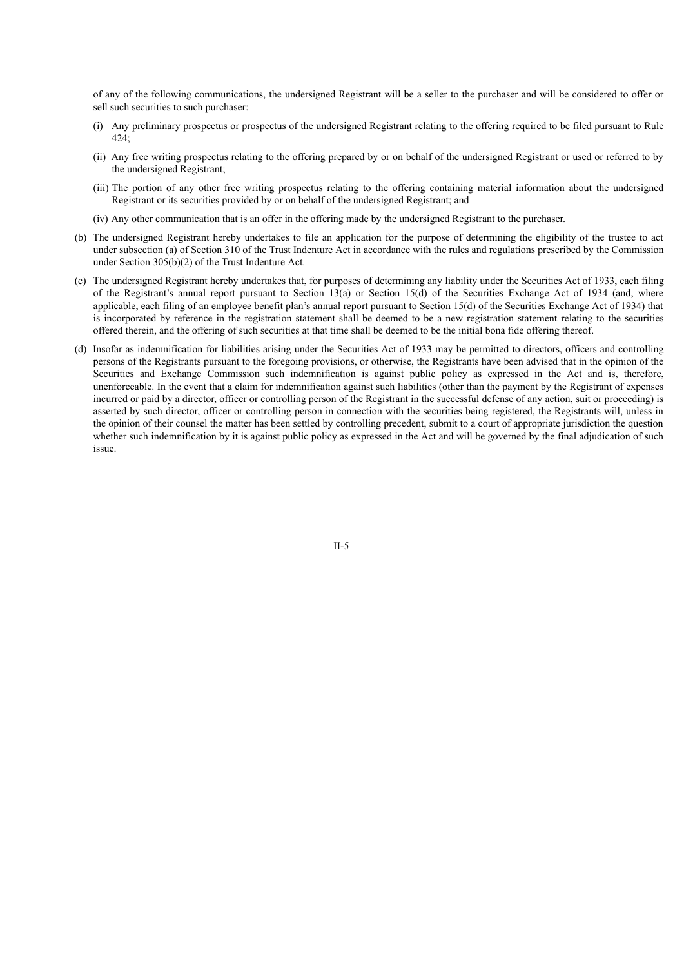of any of the following communications, the undersigned Registrant will be a seller to the purchaser and will be considered to offer or sell such securities to such purchaser:

- (i) Any preliminary prospectus or prospectus of the undersigned Registrant relating to the offering required to be filed pursuant to Rule 424;
- (ii) Any free writing prospectus relating to the offering prepared by or on behalf of the undersigned Registrant or used or referred to by the undersigned Registrant;
- (iii) The portion of any other free writing prospectus relating to the offering containing material information about the undersigned Registrant or its securities provided by or on behalf of the undersigned Registrant; and
- (iv) Any other communication that is an offer in the offering made by the undersigned Registrant to the purchaser.
- (b) The undersigned Registrant hereby undertakes to file an application for the purpose of determining the eligibility of the trustee to act under subsection (a) of Section 310 of the Trust Indenture Act in accordance with the rules and regulations prescribed by the Commission under Section 305(b)(2) of the Trust Indenture Act.
- (c) The undersigned Registrant hereby undertakes that, for purposes of determining any liability under the Securities Act of 1933, each filing of the Registrant's annual report pursuant to Section 13(a) or Section 15(d) of the Securities Exchange Act of 1934 (and, where applicable, each filing of an employee benefit plan's annual report pursuant to Section 15(d) of the Securities Exchange Act of 1934) that is incorporated by reference in the registration statement shall be deemed to be a new registration statement relating to the securities offered therein, and the offering of such securities at that time shall be deemed to be the initial bona fide offering thereof.
- (d) Insofar as indemnification for liabilities arising under the Securities Act of 1933 may be permitted to directors, officers and controlling persons of the Registrants pursuant to the foregoing provisions, or otherwise, the Registrants have been advised that in the opinion of the Securities and Exchange Commission such indemnification is against public policy as expressed in the Act and is, therefore, unenforceable. In the event that a claim for indemnification against such liabilities (other than the payment by the Registrant of expenses incurred or paid by a director, officer or controlling person of the Registrant in the successful defense of any action, suit or proceeding) is asserted by such director, officer or controlling person in connection with the securities being registered, the Registrants will, unless in the opinion of their counsel the matter has been settled by controlling precedent, submit to a court of appropriate jurisdiction the question whether such indemnification by it is against public policy as expressed in the Act and will be governed by the final adjudication of such issue.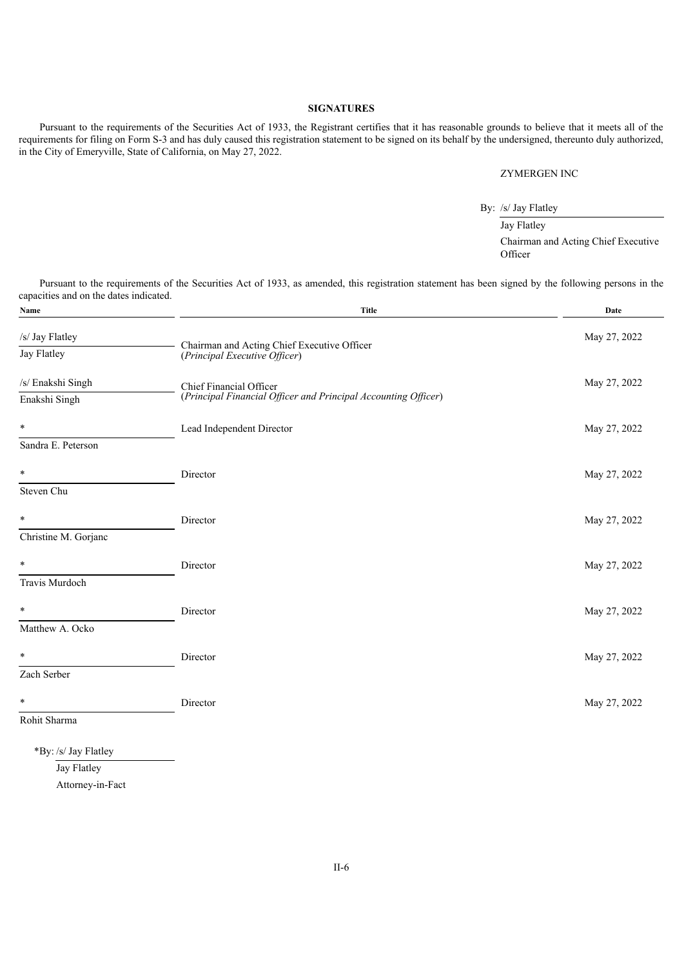## **SIGNATURES**

Pursuant to the requirements of the Securities Act of 1933, the Registrant certifies that it has reasonable grounds to believe that it meets all of the requirements for filing on Form S-3 and has duly caused this registration statement to be signed on its behalf by the undersigned, thereunto duly authorized, in the City of Emeryville, State of California, on May 27, 2022.

#### ZYMERGEN INC

By: /s/ Jay Flatley

Jay Flatley Chairman and Acting Chief Executive **Officer** 

Pursuant to the requirements of the Securities Act of 1933, as amended, this registration statement has been signed by the following persons in the capacities and on the dates indicated.

| Name                 | <b>Title</b>                                                   | Date         |
|----------------------|----------------------------------------------------------------|--------------|
| /s/ Jay Flatley      | Chairman and Acting Chief Executive Officer                    | May 27, 2022 |
| Jay Flatley          | (Principal Executive Officer)                                  |              |
| /s/ Enakshi Singh    | Chief Financial Officer                                        | May 27, 2022 |
| Enakshi Singh        | (Principal Financial Officer and Principal Accounting Officer) |              |
| $\ast$               | Lead Independent Director                                      | May 27, 2022 |
| Sandra E. Peterson   |                                                                |              |
| $\ast$               | Director                                                       | May 27, 2022 |
| Steven Chu           |                                                                |              |
| $\ast$               | Director                                                       | May 27, 2022 |
| Christine M. Gorjanc |                                                                |              |
| $\ast$               | Director                                                       | May 27, 2022 |
| Travis Murdoch       |                                                                |              |
| ¥                    | Director                                                       | May 27, 2022 |
| Matthew A. Ocko      |                                                                |              |
| $\ast$               | Director                                                       | May 27, 2022 |
| Zach Serber          |                                                                |              |
| $\ast$               | Director                                                       | May 27, 2022 |
| Rohit Sharma         |                                                                |              |
| *By: /s/ Jay Flatley |                                                                |              |

Jay Flatley Attorney-in-Fact